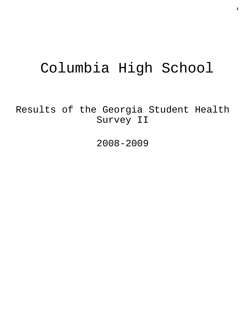# Columbia High School

Results of the Georgia Student Health Survey II

2008-2009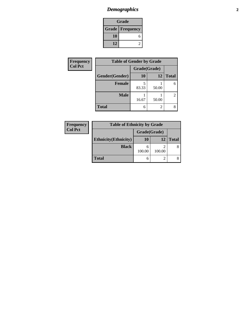#### *Demographics* **2**

| Grade                    |  |  |  |
|--------------------------|--|--|--|
| <b>Grade   Frequency</b> |  |  |  |
| 10                       |  |  |  |
| 12                       |  |  |  |

| <b>Frequency</b> | <b>Table of Gender by Grade</b> |              |                |                |
|------------------|---------------------------------|--------------|----------------|----------------|
| <b>Col Pct</b>   |                                 | Grade(Grade) |                |                |
|                  | Gender(Gender)                  | <b>10</b>    | 12             | <b>Total</b>   |
|                  | Female                          | 83.33        | 50.00          | 6              |
|                  | <b>Male</b>                     | 16.67        | 50.00          | $\overline{2}$ |
|                  | <b>Total</b>                    | 6            | $\mathfrak{D}$ | 8              |

| Frequency      | <b>Table of Ethnicity by Grade</b> |              |        |              |
|----------------|------------------------------------|--------------|--------|--------------|
| <b>Col Pct</b> |                                    | Grade(Grade) |        |              |
|                | <b>Ethnicity</b> (Ethnicity)       | 10           | 12     | <b>Total</b> |
|                | <b>Black</b>                       | 100.00       | 100.00 | 8            |
|                | <b>Total</b>                       | 6            |        |              |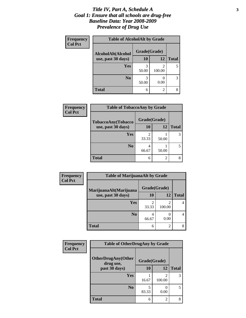#### *Title IV, Part A, Schedule A* **3** *Goal 1: Ensure that all schools are drug-free Baseline Data: Year 2008-2009 Prevalence of Drug Use*

| Frequency<br><b>Col Pct</b> | <b>Table of AlcoholAlt by Grade</b> |              |             |              |  |
|-----------------------------|-------------------------------------|--------------|-------------|--------------|--|
|                             | AlcoholAlt(Alcohol                  | Grade(Grade) |             |              |  |
|                             | use, past 30 days)                  | 10           | <b>12</b>   | <b>Total</b> |  |
|                             | <b>Yes</b>                          | 3<br>50.00   | 2<br>100.00 |              |  |
|                             | N <sub>0</sub>                      | 3<br>50.00   | 0.00        | 3            |  |
|                             | <b>Total</b>                        | 6            | 2           | 8            |  |

| Frequency<br><b>Col Pct</b> | <b>Table of TobaccoAny by Grade</b> |                         |       |              |  |
|-----------------------------|-------------------------------------|-------------------------|-------|--------------|--|
|                             | TobaccoAny(Tobacco                  | Grade(Grade)            |       |              |  |
|                             | use, past 30 days)                  | 10                      | 12    | <b>Total</b> |  |
|                             | Yes                                 | $\mathfrak{D}$<br>33.33 | 50.00 | 3            |  |
|                             | N <sub>0</sub>                      | 4<br>66.67              | 50.00 |              |  |
|                             | <b>Total</b>                        | 6                       | 2     |              |  |

| Frequency      | <b>Table of MarijuanaAlt by Grade</b> |                         |                          |              |  |
|----------------|---------------------------------------|-------------------------|--------------------------|--------------|--|
| <b>Col Pct</b> | MarijuanaAlt(Marijuana                | Grade(Grade)            |                          |              |  |
|                | use, past 30 days)                    | <b>10</b>               | 12                       | <b>Total</b> |  |
|                | Yes                                   | $\overline{2}$<br>33.33 | $\mathfrak{D}$<br>100.00 | 4            |  |
|                | N <sub>0</sub>                        | 4<br>66.67              | 0.00                     | 4            |  |
|                | <b>Total</b>                          | 6                       | $\mathfrak{D}$           | 8            |  |

| Frequency<br><b>Col Pct</b> | <b>Table of OtherDrugAny by Grade</b>  |              |             |              |
|-----------------------------|----------------------------------------|--------------|-------------|--------------|
|                             | <b>OtherDrugAny(Other</b><br>drug use, | Grade(Grade) |             |              |
|                             | past 30 days)                          | 10           | 12          | <b>Total</b> |
|                             | <b>Yes</b>                             | 16.67        | 2<br>100.00 | 3            |
|                             | N <sub>0</sub>                         | 83.33        | 0.00        | 5            |
|                             | <b>Total</b>                           | 6            | 2           | 8            |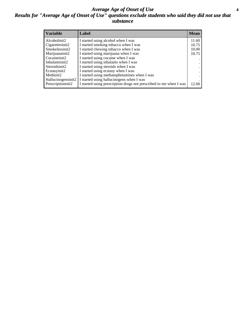#### *Average Age of Onset of Use* **4** *Results for "Average Age of Onset of Use" questions exclude students who said they did not use that substance*

| <b>Variable</b>    | Label                                                              | <b>Mean</b> |
|--------------------|--------------------------------------------------------------------|-------------|
| Alcoholinit2       | I started using alcohol when I was                                 | 11.60       |
| Cigarettesinit2    | I started smoking tobacco when I was                               | 10.75       |
| Smokelessinit2     | I started chewing tobacco when I was                               | 10.00       |
| Marijuanainit2     | I started using marijuana when I was                               | 10.75       |
| Cocaineinit2       | I started using cocaine when I was                                 |             |
| Inhalantsinit2     | I started using inhalants when I was                               |             |
| Steroidsinit2      | I started using steroids when I was                                |             |
| Ecstasyinit2       | I started using ecstasy when I was                                 |             |
| Methinit2          | I started using methamphetamines when I was                        |             |
| Hallucinogensinit2 | I started using hallucinogens when I was                           |             |
| Prescriptioninit2  | I started using prescription drugs not prescribed to me when I was | 12.00       |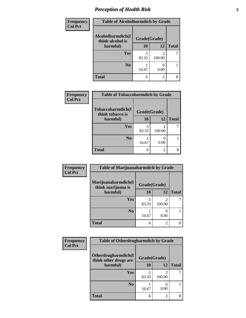# *Perception of Health Risk* **5**

| Frequency      | <b>Table of Alcoholharmdich by Grade</b> |              |                |              |
|----------------|------------------------------------------|--------------|----------------|--------------|
| <b>Col Pct</b> | Alcoholharmdich(I<br>think alcohol is    | Grade(Grade) |                |              |
|                | harmful)                                 | 10           | 12             | <b>Total</b> |
|                | Yes                                      | 5<br>83.33   | っ<br>100.00    |              |
|                | N <sub>0</sub>                           | 16.67        | 0.00           |              |
|                | <b>Total</b>                             | 6            | $\overline{2}$ | 8            |

| Frequency      | <b>Table of Tobaccoharmdich by Grade</b> |              |                          |              |  |
|----------------|------------------------------------------|--------------|--------------------------|--------------|--|
| <b>Col Pct</b> | Tobaccoharmdich(I<br>think tobacco is    | Grade(Grade) |                          |              |  |
|                | harmful)                                 | 10           | 12                       | <b>Total</b> |  |
|                | Yes                                      | 83.33        | $\mathfrak{D}$<br>100.00 |              |  |
|                | N <sub>0</sub>                           | 16.67        | 0.00                     |              |  |
|                | <b>Total</b>                             | 6            | $\overline{c}$           | 8            |  |

| Frequency      | <b>Table of Marijuanaharmdich by Grade</b>                |       |        |              |
|----------------|-----------------------------------------------------------|-------|--------|--------------|
| <b>Col Pct</b> | Marijuanaharmdich(I<br>Grade(Grade)<br>think marijuana is |       |        |              |
|                | harmful)                                                  | 10    | 12     | <b>Total</b> |
|                | Yes                                                       | 83.33 | 100.00 |              |
|                | N <sub>0</sub>                                            | 16.67 | 0.00   |              |
|                | <b>Total</b>                                              | 6     | 2      | 8            |

| <b>Frequency</b> | <b>Table of Otherdrugharmdich by Grade</b>                   |       |                |              |
|------------------|--------------------------------------------------------------|-------|----------------|--------------|
| <b>Col Pct</b>   | Otherdrugharmdich(I<br>Grade(Grade)<br>think other drugs are |       |                |              |
|                  | harmful)                                                     | 10    | 12             | <b>Total</b> |
|                  | <b>Yes</b>                                                   | 83.33 | 2<br>100.00    |              |
|                  | N <sub>0</sub>                                               | 16.67 | 0.00           |              |
|                  | <b>Total</b>                                                 | 6     | $\overline{2}$ | 8            |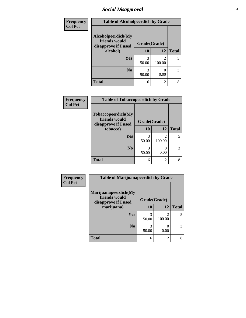### *Social Disapproval* **6**

| Frequency      |                                                             | <b>Table of Alcoholpeerdich by Grade</b> |                          |              |
|----------------|-------------------------------------------------------------|------------------------------------------|--------------------------|--------------|
| <b>Col Pct</b> | Alcoholpeerdich(My<br>friends would<br>disapprove if I used | Grade(Grade)                             |                          |              |
|                | alcohol)                                                    | 10                                       | 12                       | <b>Total</b> |
|                | <b>Yes</b>                                                  | 3<br>50.00                               | $\mathfrak{D}$<br>100.00 | 5            |
|                | N <sub>0</sub>                                              | 3<br>50.00                               | 0.00                     | 3            |
|                | <b>Total</b>                                                | 6                                        | $\overline{2}$           | 8            |

| <b>Frequency</b> |
|------------------|
| <b>Col Pct</b>   |

| <b>Table of Tobaccopeerdich by Grade</b>                            |              |             |              |  |
|---------------------------------------------------------------------|--------------|-------------|--------------|--|
| <b>Tobaccopeerdich</b> (My<br>friends would<br>disapprove if I used | Grade(Grade) |             |              |  |
| tobacco)                                                            | 10           | 12          | <b>Total</b> |  |
| Yes                                                                 | 3<br>50.00   | 2<br>100.00 |              |  |
| N <sub>0</sub>                                                      | 3<br>50.00   | 0.00        |              |  |
| <b>Total</b>                                                        | 6            | 2           |              |  |

| Frequency      | <b>Table of Marijuanapeerdich by Grade</b>                    |              |                          |              |
|----------------|---------------------------------------------------------------|--------------|--------------------------|--------------|
| <b>Col Pct</b> | Marijuanapeerdich(My<br>friends would<br>disapprove if I used | Grade(Grade) |                          |              |
|                | marijuana)                                                    | 10           | 12                       | <b>Total</b> |
|                | <b>Yes</b>                                                    | 3<br>50.00   | $\mathfrak{D}$<br>100.00 | 5            |
|                | N <sub>0</sub>                                                | 3<br>50.00   | 0.00                     | 3            |
|                | <b>Total</b>                                                  | 6            | $\mathfrak{D}$           | 8            |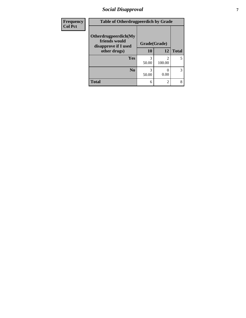### *Social Disapproval* **7**

| <b>Frequency</b> | <b>Table of Otherdrugpeerdich by Grade</b>                    |              |                |              |
|------------------|---------------------------------------------------------------|--------------|----------------|--------------|
| <b>Col Pct</b>   | Otherdrugpeerdich(My<br>friends would<br>disapprove if I used | Grade(Grade) |                |              |
|                  | other drugs)                                                  | 10           | 12             | <b>Total</b> |
|                  | <b>Yes</b>                                                    | 3<br>50.00   | 2<br>100.00    | 5            |
|                  | N <sub>0</sub>                                                | 50.00        | 0.00           | 3            |
|                  | <b>Total</b>                                                  | 6            | $\overline{2}$ | 8            |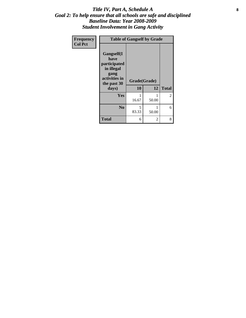#### Title IV, Part A, Schedule A **8** *Goal 2: To help ensure that all schools are safe and disciplined Baseline Data: Year 2008-2009 Student Involvement in Gang Activity*

| Frequency      |                                                                                                   | <b>Table of Gangself by Grade</b> |            |              |
|----------------|---------------------------------------------------------------------------------------------------|-----------------------------------|------------|--------------|
| <b>Col Pct</b> | Gangself(I<br>have<br>participated<br>in illegal<br>gang<br>activities in<br>the past 30<br>days) | Grade(Grade)<br>10                | 12         | <b>Total</b> |
|                | Yes                                                                                               | 1<br>16.67                        | 1<br>50.00 | 2            |
|                | N <sub>0</sub>                                                                                    | 5<br>83.33                        | 1<br>50.00 | 6            |
|                | <b>Total</b>                                                                                      | 6                                 | 2          | 8            |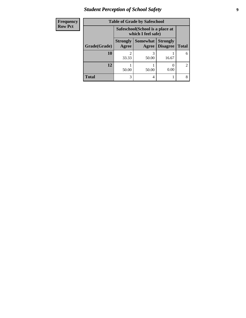### *Student Perception of School Safety* **9**

| <b>Frequency</b> | <b>Table of Grade by Safeschool</b> |                                                        |                          |                                    |                             |
|------------------|-------------------------------------|--------------------------------------------------------|--------------------------|------------------------------------|-----------------------------|
| <b>Row Pct</b>   |                                     | Safeschool (School is a place at<br>which I feel safe) |                          |                                    |                             |
|                  | Grade(Grade)                        | <b>Strongly</b><br>Agree                               | <b>Somewhat</b><br>Agree | <b>Strongly</b><br><b>Disagree</b> | <b>Total</b>                |
|                  | 10                                  | $\mathfrak{D}$<br>33.33                                | 50.00                    | 16.67                              | 6                           |
|                  | 12                                  | 50.00                                                  | 50.00                    | 0.00                               | $\mathcal{D}_{\mathcal{L}}$ |
|                  | <b>Total</b>                        | 3                                                      | 4                        |                                    |                             |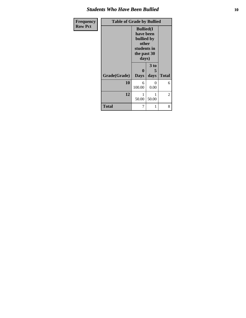#### *Students Who Have Been Bullied* **10**

| Frequency      | <b>Table of Grade by Bullied</b> |                                                                                              |           |              |
|----------------|----------------------------------|----------------------------------------------------------------------------------------------|-----------|--------------|
| <b>Row Pct</b> |                                  | <b>Bullied</b> (I<br>have been<br>bullied by<br>other<br>students in<br>the past 30<br>days) |           |              |
|                |                                  | $\bf{0}$                                                                                     | 3 to<br>5 |              |
|                | Grade(Grade)                     | <b>Days</b>                                                                                  | days      | <b>Total</b> |
|                | 10                               | 6<br>100.00                                                                                  | 0<br>0.00 | 6            |
|                | 12                               | 1<br>50.00                                                                                   | 50.00     | 2            |
|                | <b>Total</b>                     | 7                                                                                            | 1         | 8            |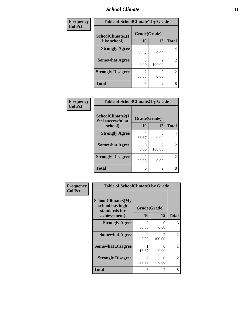#### *School Climate* **11**

| Frequency      | <b>Table of SchoolClimate1 by Grade</b> |              |                |                |
|----------------|-----------------------------------------|--------------|----------------|----------------|
| <b>Col Pct</b> | SchoolClimate1(I                        | Grade(Grade) |                |                |
|                | like school)                            | 10           | 12             | <b>Total</b>   |
|                | <b>Strongly Agree</b>                   | 4<br>66.67   | 0.00           | 4              |
|                | <b>Somewhat Agree</b>                   | 0<br>0.00    | 100.00         | $\overline{2}$ |
|                | <b>Strongly Disagree</b>                | 2<br>33.33   | 0.00           | $\overline{2}$ |
|                | <b>Total</b>                            | 6            | $\mathfrak{D}$ | 8              |

| Frequency      | <b>Table of SchoolClimate2 by Grade</b> |                                      |                                       |                |
|----------------|-----------------------------------------|--------------------------------------|---------------------------------------|----------------|
| <b>Col Pct</b> | SchoolClimate2(I<br>feel successful at  | Grade(Grade)                         |                                       |                |
|                | school)                                 | 10                                   | 12                                    | <b>Total</b>   |
|                | <b>Strongly Agree</b>                   | 4<br>66.67                           | $\mathbf{\Omega}$<br>0.00             | 4              |
|                | <b>Somewhat Agree</b>                   | 0.00                                 | $\mathcal{D}_{\mathcal{L}}$<br>100.00 | 2              |
|                | <b>Strongly Disagree</b>                | $\mathcal{D}_{\mathcal{A}}$<br>33.33 | 0<br>0.00                             | $\mathfrak{D}$ |
|                | <b>Total</b>                            | 6                                    | 2                                     | 8              |

| Frequency      | <b>Table of SchoolClimate3 by Grade</b>               |                         |                         |                |
|----------------|-------------------------------------------------------|-------------------------|-------------------------|----------------|
| <b>Col Pct</b> | SchoolClimate3(My<br>school has high<br>standards for | Grade(Grade)            |                         |                |
|                | achievement)                                          | <b>10</b>               | 12                      | <b>Total</b>   |
|                | <b>Strongly Agree</b>                                 | 3<br>50.00              | $\Omega$<br>0.00        | 3              |
|                | <b>Somewhat Agree</b>                                 | 0<br>0.00               | $\mathcal{D}$<br>100.00 | $\mathfrak{D}$ |
|                | <b>Somewhat Disagree</b>                              | 1<br>16.67              | 0<br>0.00               | 1              |
|                | <b>Strongly Disagree</b>                              | $\mathfrak{D}$<br>33.33 | 0<br>0.00               | $\overline{c}$ |
|                | Total                                                 | 6                       | 2                       | 8              |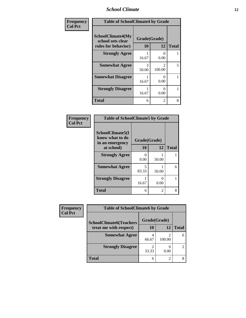#### *School Climate* **12**

| Frequency      | <b>Table of SchoolClimate4 by Grade</b>                              |                        |                          |              |
|----------------|----------------------------------------------------------------------|------------------------|--------------------------|--------------|
| <b>Col Pct</b> | <b>SchoolClimate4(My</b><br>school sets clear<br>rules for behavior) | Grade(Grade)<br>10     | 12                       | <b>Total</b> |
|                | <b>Strongly Agree</b>                                                | 16.67                  | 0<br>0.00                | 1            |
|                | <b>Somewhat Agree</b>                                                | $\mathcal{R}$<br>50.00 | $\mathfrak{D}$<br>100.00 | 5            |
|                | <b>Somewhat Disagree</b>                                             | 16.67                  | 0<br>0.00                | 1            |
|                | <b>Strongly Disagree</b>                                             | 16.67                  | 0<br>0.00                | 1            |
|                | <b>Total</b>                                                         | 6                      | 2                        | 8            |

#### **Frequency Col Pct**

| <b>Table of SchoolClimate5 by Grade</b>                |              |       |              |
|--------------------------------------------------------|--------------|-------|--------------|
| SchoolClimate5(I<br>know what to do<br>in an emergency | Grade(Grade) |       |              |
| at school)                                             | 10           | 12    | <b>Total</b> |
| <b>Strongly Agree</b>                                  | 0<br>0.00    | 50.00 |              |
| <b>Somewhat Agree</b>                                  | 5<br>83.33   | 50.00 | 6            |
| <b>Strongly Disagree</b>                               | 16.67        | 0.00  |              |
| <b>Total</b>                                           | 6            | 2     |              |

| Frequency      | <b>Table of SchoolClimate6 by Grade</b> |              |        |              |  |
|----------------|-----------------------------------------|--------------|--------|--------------|--|
| <b>Col Pct</b> | <b>SchoolClimate6(Teachers</b>          | Grade(Grade) |        |              |  |
|                | treat me with respect)                  | 10           | 12     | <b>Total</b> |  |
|                | <b>Somewhat Agree</b>                   | 66.67        | 100.00 |              |  |
|                | <b>Strongly Disagree</b>                | 33.33        | 0.00   |              |  |
|                | <b>Total</b>                            | 6            |        |              |  |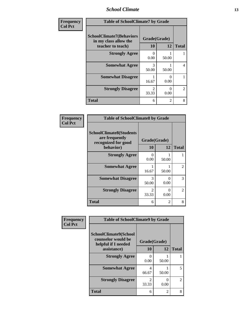#### *School Climate* **13**

| Frequency      | <b>Table of SchoolClimate7 by Grade</b>                                       |                           |                |                |
|----------------|-------------------------------------------------------------------------------|---------------------------|----------------|----------------|
| <b>Col Pct</b> | <b>SchoolClimate7(Behaviors</b><br>in my class allow the<br>teacher to teach) | Grade(Grade)<br><b>10</b> | 12             | <b>Total</b>   |
|                | <b>Strongly Agree</b>                                                         | $\Omega$<br>0.00          | 50.00          |                |
|                | <b>Somewhat Agree</b>                                                         | 3<br>50.00                | 50.00          | 4              |
|                | <b>Somewhat Disagree</b>                                                      | 16.67                     | 0<br>0.00      |                |
|                | <b>Strongly Disagree</b>                                                      | $\mathfrak{D}$<br>33.33   | 0<br>0.00      | $\mathfrak{D}$ |
|                | <b>Total</b>                                                                  | 6                         | $\mathfrak{D}$ | 8              |

| Frequency      | <b>Table of SchoolClimate8 by Grade</b>                                              |                        |           |              |
|----------------|--------------------------------------------------------------------------------------|------------------------|-----------|--------------|
| <b>Col Pct</b> | <b>SchoolClimate8(Students</b><br>are frequently<br>recognized for good<br>behavior) | Grade(Grade)<br>10     | 12        | <b>Total</b> |
|                | <b>Strongly Agree</b>                                                                | 0<br>0.00              | 50.00     |              |
|                | <b>Somewhat Agree</b>                                                                | 16.67                  | 50.00     | 2            |
|                | <b>Somewhat Disagree</b>                                                             | 3<br>50.00             | 0<br>0.00 | 3            |
|                | <b>Strongly Disagree</b>                                                             | $\mathcal{D}$<br>33.33 | 0.00      | 2            |
|                | <b>Total</b>                                                                         | 6                      | 2         | 8            |

| Frequency      | <b>Table of SchoolClimate9 by Grade</b>                                                  |                         |                |                |
|----------------|------------------------------------------------------------------------------------------|-------------------------|----------------|----------------|
| <b>Col Pct</b> | <b>SchoolClimate9(School</b><br>counselor would be<br>helpful if I needed<br>assistance) | Grade(Grade)<br>10      | 12             | <b>Total</b>   |
|                | <b>Strongly Agree</b>                                                                    | 0<br>0.00               | 50.00          |                |
|                | <b>Somewhat Agree</b>                                                                    | 4<br>66.67              | 50.00          | 5              |
|                | <b>Strongly Disagree</b>                                                                 | $\mathfrak{D}$<br>33.33 | 0.00           | $\overline{2}$ |
|                | <b>Total</b>                                                                             | 6                       | $\overline{2}$ | 8              |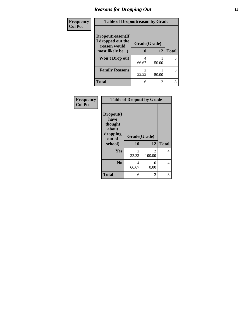#### *Reasons for Dropping Out* **14**

| Frequency      | <b>Table of Dropoutreason by Grade</b> |              |       |              |
|----------------|----------------------------------------|--------------|-------|--------------|
| <b>Col Pct</b> | Dropoutreason(If<br>I dropped out the  | Grade(Grade) |       |              |
|                | reason would<br>most likely be)        | 10           | 12    | <b>Total</b> |
|                | Won't Drop out                         | 4<br>66.67   | 50.00 |              |
|                | <b>Family Reasons</b>                  | 2<br>33.33   | 50.00 | 3            |
|                | <b>Total</b>                           | 6            | 2     | 8            |

| Frequency<br><b>Col Pct</b> | <b>Table of Dropout by Grade</b>                                       |                    |                         |              |  |
|-----------------------------|------------------------------------------------------------------------|--------------------|-------------------------|--------------|--|
|                             | Dropout(I<br>have<br>thought<br>about<br>dropping<br>out of<br>school) | Grade(Grade)<br>10 | 12                      | <b>Total</b> |  |
|                             | Yes                                                                    | 2<br>33.33         | $\mathcal{L}$<br>100.00 | 4            |  |
|                             | N <sub>0</sub>                                                         | 4<br>66.67         | 0<br>0.00               | 4            |  |
|                             | <b>Total</b>                                                           | 6                  | 2                       | 8            |  |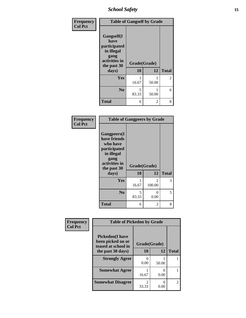*School Safety* **15**

| Frequency      |                                                                                                   | <b>Table of Gangself by Grade</b> |            |              |  |
|----------------|---------------------------------------------------------------------------------------------------|-----------------------------------|------------|--------------|--|
| <b>Col Pct</b> | Gangself(I<br>have<br>participated<br>in illegal<br>gang<br>activities in<br>the past 30<br>days) | Grade(Grade)<br>10                | 12         | <b>Total</b> |  |
|                | Yes                                                                                               | 16.67                             | 50.00      | 2            |  |
|                | N <sub>0</sub>                                                                                    | 5<br>83.33                        | 1<br>50.00 | 6            |  |
|                | <b>Total</b>                                                                                      | 6                                 | 2          | 8            |  |

| Frequency<br><b>Col Pct</b> | <b>Table of Gangpeers by Grade</b>                                                                                             |                    |                          |              |
|-----------------------------|--------------------------------------------------------------------------------------------------------------------------------|--------------------|--------------------------|--------------|
|                             | <b>Gangpeers</b> (I<br>have friends<br>who have<br>participated<br>in illegal<br>gang<br>activities in<br>the past 30<br>days) | Grade(Grade)<br>10 | 12                       | <b>Total</b> |
|                             | Yes                                                                                                                            | 16.67              | $\mathfrak{D}$<br>100.00 | 3            |
|                             | N <sub>0</sub>                                                                                                                 | 5<br>83.33         | 0<br>0.00                | 5            |
|                             | <b>Total</b>                                                                                                                   | 6                  | 2                        | 8            |

| Frequency      | <b>Table of Pickedon by Grade</b>                                  |                                      |                           |                |
|----------------|--------------------------------------------------------------------|--------------------------------------|---------------------------|----------------|
| <b>Col Pct</b> | <b>Pickedon(I have</b><br>been picked on or<br>teased at school in | Grade(Grade)                         |                           |                |
|                | the past 30 days)                                                  | 10                                   | 12                        | <b>Total</b>   |
|                | <b>Strongly Agree</b>                                              | 0<br>0.00                            | 50.00                     |                |
|                | <b>Somewhat Agree</b>                                              | 16.67                                | $\mathbf{\Omega}$<br>0.00 |                |
|                | <b>Somewhat Disagree</b>                                           | $\mathcal{D}_{\mathcal{L}}$<br>33.33 | 0<br>0.00                 | $\mathfrak{D}$ |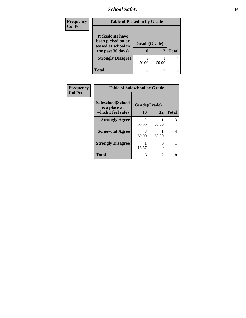*School Safety* **16**

| <b>Frequency</b> | <b>Table of Pickedon by Grade</b>                                                        |                    |       |              |
|------------------|------------------------------------------------------------------------------------------|--------------------|-------|--------------|
| <b>Col Pct</b>   | <b>Pickedon</b> (I have<br>been picked on or<br>teased at school in<br>the past 30 days) | Grade(Grade)<br>10 | 12    | <b>Total</b> |
|                  | <b>Strongly Disagree</b>                                                                 | 3<br>50.00         | 50.00 | 4            |
|                  | <b>Total</b>                                                                             | 6                  | 2     | 8            |

| Frequency      | <b>Table of Safeschool by Grade</b> |                        |                |              |
|----------------|-------------------------------------|------------------------|----------------|--------------|
| <b>Col Pct</b> | Safeschool(School<br>is a place at  | Grade(Grade)           |                |              |
|                | which I feel safe)                  | 10                     | 12             | <b>Total</b> |
|                | <b>Strongly Agree</b>               | $\mathcal{L}$<br>33.33 | 50.00          | 3            |
|                | <b>Somewhat Agree</b>               | 3<br>50.00             | 50.00          | 4            |
|                | <b>Strongly Disagree</b>            | 16.67                  | 0.00           |              |
|                | <b>Total</b>                        | 6                      | $\mathfrak{D}$ | 8            |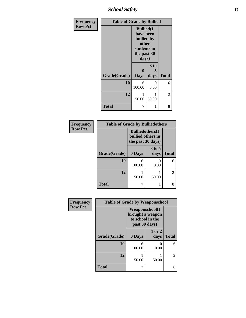*School Safety* **17**

| Frequency      |              | <b>Table of Grade by Bullied</b>                                                             |                   |              |  |
|----------------|--------------|----------------------------------------------------------------------------------------------|-------------------|--------------|--|
| <b>Row Pct</b> |              | <b>Bullied(I)</b><br>have been<br>bullied by<br>other<br>students in<br>the past 30<br>days) |                   |              |  |
|                | Grade(Grade) | 0<br><b>Days</b>                                                                             | 3 to<br>5<br>days | <b>Total</b> |  |
|                | 10           | 6<br>100.00                                                                                  | 0<br>0.00         | 6            |  |
|                | 12           | 1<br>50.00                                                                                   | 1<br>50.00        | 2            |  |
|                | <b>Total</b> | 7                                                                                            | 1                 | 8            |  |

| <b>Frequency</b> | <b>Table of Grade by Bulliedothers</b> |                                                                   |                           |                |
|------------------|----------------------------------------|-------------------------------------------------------------------|---------------------------|----------------|
| <b>Row Pct</b>   |                                        | <b>Bulliedothers(I)</b><br>bullied others in<br>the past 30 days) |                           |                |
|                  | Grade(Grade)                           | 0 Days                                                            | $3$ to 5<br>days          | <b>Total</b>   |
|                  | 10                                     | 6<br>100.00                                                       | $\mathbf{\Omega}$<br>0.00 | 6              |
|                  | 12                                     | 50.00                                                             | 50.00                     | $\mathfrak{D}$ |
|                  | <b>Total</b>                           |                                                                   | 1                         | 8              |

| Frequency      | <b>Table of Grade by Weaponschool</b> |                                                                                 |                |                |
|----------------|---------------------------------------|---------------------------------------------------------------------------------|----------------|----------------|
| <b>Row Pct</b> |                                       | <b>Weaponschool</b> (I<br>brought a weapon<br>to school in the<br>past 30 days) |                |                |
|                | Grade(Grade)                          | 0 Days                                                                          | 1 or 2<br>days | <b>Total</b>   |
|                | 10                                    | 6<br>100.00                                                                     | 0.00           | 6              |
|                | 12                                    | 50.00                                                                           | 50.00          | $\overline{2}$ |
|                | <b>Total</b>                          | 7                                                                               |                | 8              |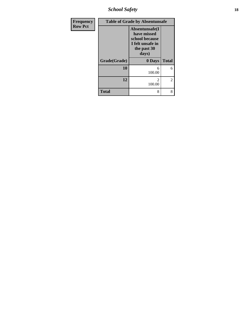*School Safety* **18**

| Frequency      |              | <b>Table of Grade by Absentunsafe</b>                                                       |               |
|----------------|--------------|---------------------------------------------------------------------------------------------|---------------|
| <b>Row Pct</b> |              | Absentunsafe(I<br>have missed<br>school because<br>I felt unsafe in<br>the past 30<br>days) |               |
|                | Grade(Grade) | 0 Days                                                                                      | <b>Total</b>  |
|                | 10           | 6<br>100.00                                                                                 | 6             |
|                | 12           | 2<br>100.00                                                                                 | $\mathcal{L}$ |
|                | <b>Total</b> | 8                                                                                           | 8             |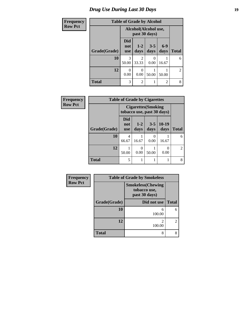### *Drug Use During Last 30 Days* **19**

| Frequency      |              | <b>Table of Grade by Alcohol</b> |                         |                                       |                |                |
|----------------|--------------|----------------------------------|-------------------------|---------------------------------------|----------------|----------------|
| <b>Row Pct</b> |              |                                  |                         | Alcohol(Alcohol use,<br>past 30 days) |                |                |
|                | Grade(Grade) | <b>Did</b><br>not<br><b>use</b>  | $1 - 2$<br>days         | $3 - 5$<br>days                       | $6-9$<br>days  | <b>Total</b>   |
|                | 10           | 3<br>50.00                       | $\overline{2}$<br>33.33 | 0<br>0.00                             | 16.67          | 6              |
|                | 12           | $\Omega$<br>0.00                 | $\theta$<br>0.00        | 50.00                                 | 50.00          | $\overline{2}$ |
|                | <b>Total</b> | 3                                | $\overline{2}$          | 1                                     | $\overline{2}$ | 8              |

| <b>Frequency</b> | <b>Table of Grade by Cigarettes</b> |                          |                 |                                                          |                 |              |
|------------------|-------------------------------------|--------------------------|-----------------|----------------------------------------------------------|-----------------|--------------|
| <b>Row Pct</b>   |                                     |                          |                 | <b>Cigarettes</b> (Smoking<br>tobacco use, past 30 days) |                 |              |
|                  | Grade(Grade)                        | Did<br>not<br><b>use</b> | $1 - 2$<br>days | $3 - 5$<br>days                                          | $10-19$<br>days | <b>Total</b> |
|                  | 10                                  | 4<br>66.67               | 16.67           | $\Omega$<br>0.00                                         | 16.67           | 6            |
|                  | 12                                  | 50.00                    | 0.00            | 50.00                                                    | 0.00            | 2            |
|                  | <b>Total</b>                        | 5                        |                 |                                                          |                 | 8            |

| <b>Frequency</b> | <b>Table of Grade by Smokeless</b> |                                                           |                |  |
|------------------|------------------------------------|-----------------------------------------------------------|----------------|--|
| <b>Row Pct</b>   |                                    | <b>Smokeless(Chewing</b><br>tobacco use,<br>past 30 days) |                |  |
|                  | Grade(Grade)                       | Did not use                                               | <b>Total</b>   |  |
|                  | 10                                 | 6<br>100.00                                               | 6              |  |
|                  | 12                                 | 100.00                                                    | $\overline{2}$ |  |
|                  | Total                              | 8                                                         | 8              |  |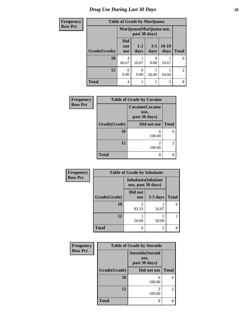### *Drug Use During Last 30 Days* 20

| <b>Frequency</b> | <b>Table of Grade by Marijuana</b> |                                 |                                            |                 |                 |                |
|------------------|------------------------------------|---------------------------------|--------------------------------------------|-----------------|-----------------|----------------|
| <b>Row Pct</b>   |                                    |                                 | Marijuana (Marijuana use,<br>past 30 days) |                 |                 |                |
|                  | Grade(Grade)                       | <b>Did</b><br>not<br><b>use</b> | $1 - 2$<br>days                            | $3 - 5$<br>days | $10-19$<br>days | <b>Total</b>   |
|                  | 10                                 | 4<br>66.67                      | 16.67                                      | ∩<br>0.00       | 16.67           | 6              |
|                  | 12                                 | 0<br>0.00                       | 0<br>0.00                                  | 50.00           | 50.00           | $\overline{2}$ |
|                  | <b>Total</b>                       | 4                               |                                            |                 | $\overline{c}$  | 8              |

| Frequency      | <b>Table of Grade by Cocaine</b> |                                                  |               |
|----------------|----------------------------------|--------------------------------------------------|---------------|
| <b>Row Pct</b> |                                  | <b>Cocaine</b> (Cocaine<br>use,<br>past 30 days) |               |
|                | Grade(Grade)                     | Did not use                                      | <b>Total</b>  |
|                | 10                               | 6<br>100.00                                      | 6             |
|                | 12                               | っ<br>100.00                                      | $\mathcal{L}$ |
|                | <b>Total</b>                     | 8                                                | 8             |

| Frequency      | <b>Table of Grade by Inhalants</b> |                       |                                                  |                |
|----------------|------------------------------------|-----------------------|--------------------------------------------------|----------------|
| <b>Row Pct</b> |                                    |                       | <b>Inhalants</b> (Inhalant<br>use, past 30 days) |                |
|                | Grade(Grade)                       | Did not<br><b>use</b> | $3-5$ days                                       | <b>Total</b>   |
|                | 10                                 | 83.33                 | 16.67                                            | 6              |
|                | 12                                 | 50.00                 | 50.00                                            | $\overline{c}$ |
|                | <b>Total</b>                       | 6                     | $\overline{c}$                                   | 8              |

| Frequency      |              | <b>Table of Grade by Steroids</b>                 |              |  |
|----------------|--------------|---------------------------------------------------|--------------|--|
| <b>Row Pct</b> |              | <b>Steroids</b> (Steroid<br>use,<br>past 30 days) |              |  |
|                | Grade(Grade) | Did not use                                       | <b>Total</b> |  |
|                | 10           | 6<br>100.00                                       | 6            |  |
|                | 12           | $\mathfrak{D}$<br>100.00                          | 2            |  |
|                | Total        | 8                                                 | 8            |  |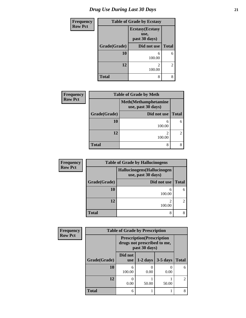| <b>Frequency</b> | <b>Table of Grade by Ecstasy</b> |                                                  |              |
|------------------|----------------------------------|--------------------------------------------------|--------------|
| <b>Row Pct</b>   |                                  | <b>Ecstasy</b> (Ecstasy<br>use,<br>past 30 days) |              |
|                  | Grade(Grade)                     | Did not use                                      | <b>Total</b> |
|                  | 10                               | 6<br>100.00                                      | 6            |
|                  | 12                               | 2<br>100.00                                      | 2            |
|                  | <b>Total</b>                     | 8                                                | 8            |

| <b>Frequency</b> |                             | <b>Table of Grade by Meth</b>                      |              |
|------------------|-----------------------------|----------------------------------------------------|--------------|
| <b>Row Pct</b>   |                             | <b>Meth</b> (Methamphetamine<br>use, past 30 days) |              |
|                  | Grade(Grade)<br>Did not use |                                                    | <b>Total</b> |
|                  | 10                          | 6<br>100.00                                        |              |
|                  | 12                          | $\mathfrak{D}$<br>100.00                           | ∍            |
|                  | <b>Total</b>                | 8                                                  |              |

| <b>Frequency</b> |              | <b>Table of Grade by Hallucinogens</b>            |                |  |  |
|------------------|--------------|---------------------------------------------------|----------------|--|--|
| <b>Row Pct</b>   |              | Hallucinogens (Hallucinogen<br>use, past 30 days) |                |  |  |
|                  | Grade(Grade) | Did not use                                       | <b>Total</b>   |  |  |
|                  | 10           | 6<br>100.00                                       | 6              |  |  |
|                  | 12           | ∍<br>100.00                                       | $\mathfrak{D}$ |  |  |
|                  | <b>Total</b> | 8                                                 |                |  |  |

| Frequency      | <b>Table of Grade by Prescription</b> |                       |                                                                                   |            |              |
|----------------|---------------------------------------|-----------------------|-----------------------------------------------------------------------------------|------------|--------------|
| <b>Row Pct</b> |                                       |                       | <b>Prescription</b> (Prescription<br>drugs not prescribed to me,<br>past 30 days) |            |              |
|                | Grade(Grade)                          | Did not<br><b>use</b> | $1-2$ days                                                                        | $3-5$ days | <b>Total</b> |
|                | 10                                    | 6<br>100.00           | 0.00                                                                              | 0.00       | 6            |
|                | 12                                    | 0<br>0.00             | 50.00                                                                             | 50.00      |              |
|                | <b>Total</b>                          | 6                     |                                                                                   |            | 8            |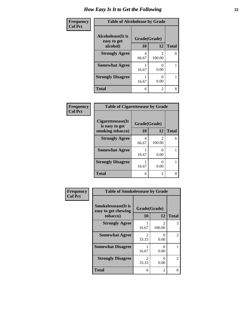| <b>Frequency</b> | <b>Table of Alcoholease by Grade</b>     |              |                         |              |
|------------------|------------------------------------------|--------------|-------------------------|--------------|
| <b>Col Pct</b>   | <b>Alcoholease</b> (It is<br>easy to get | Grade(Grade) |                         |              |
|                  | alcohol)                                 | 10           | 12                      | <b>Total</b> |
|                  | <b>Strongly Agree</b>                    | 4<br>66.67   | $\mathcal{D}$<br>100.00 | 6            |
|                  | <b>Somewhat Agree</b>                    | 16.67        | ∩<br>0.00               |              |
|                  | <b>Strongly Disagree</b>                 | 16.67        | 0<br>0.00               |              |
|                  | <b>Total</b>                             | 6            | $\mathfrak{D}$          | 8            |

| Frequency      | <b>Table of Cigarettesease by Grade</b> |              |                          |              |
|----------------|-----------------------------------------|--------------|--------------------------|--------------|
| <b>Col Pct</b> | Cigarettesease(It)<br>is easy to get    | Grade(Grade) |                          |              |
|                | smoking tobacco)                        | 10           | 12                       | <b>Total</b> |
|                | <b>Strongly Agree</b>                   | 4<br>66.67   | $\mathfrak{D}$<br>100.00 | 6            |
|                | <b>Somewhat Agree</b>                   | 16.67        | 0.00                     |              |
|                | <b>Strongly Disagree</b>                | 16.67        | 0.00                     |              |
|                | <b>Total</b>                            | 6            | $\mathfrak{D}$           | 8            |

| Frequency      | <b>Table of Smokelessease by Grade</b>                         |                         |                                 |              |
|----------------|----------------------------------------------------------------|-------------------------|---------------------------------|--------------|
| <b>Col Pct</b> | <b>Smokelessease</b> (It is<br>easy to get chewing<br>tobacco) | Grade(Grade)<br>10      | 12                              | <b>Total</b> |
|                | <b>Strongly Agree</b>                                          | 16.67                   | $\mathcal{D}_{\cdot}$<br>100.00 | 3            |
|                | <b>Somewhat Agree</b>                                          | $\mathfrak{D}$<br>33.33 | $\mathbf{\Omega}$<br>0.00       | 2            |
|                | <b>Somewhat Disagree</b>                                       | 16.67                   | $\mathbf{\Omega}$<br>0.00       |              |
|                | <b>Strongly Disagree</b>                                       | $\mathfrak{D}$<br>33.33 | 0<br>0.00                       | 2            |
|                | <b>Total</b>                                                   | 6                       | 2                               | 8            |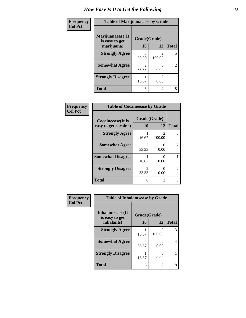| <b>Frequency</b> | <b>Table of Marijuanaease by Grade</b>           |                    |                          |                |
|------------------|--------------------------------------------------|--------------------|--------------------------|----------------|
| <b>Col Pct</b>   | Marijuanaease(It<br>is easy to get<br>marijuana) | Grade(Grade)<br>10 | 12                       | <b>Total</b>   |
|                  | <b>Strongly Agree</b>                            | 3<br>50.00         | $\mathfrak{D}$<br>100.00 | 5              |
|                  | <b>Somewhat Agree</b>                            | 2<br>33.33         | 0.00                     | $\overline{2}$ |
|                  | <b>Strongly Disagree</b>                         | 16.67              | 0.00                     |                |
|                  | <b>Total</b>                                     | 6                  | $\mathfrak{D}$           | 8              |

| Frequency      | <b>Table of Cocaineease by Grade</b>              |                         |             |                |
|----------------|---------------------------------------------------|-------------------------|-------------|----------------|
| <b>Col Pct</b> | <b>Cocaineease</b> (It is<br>easy to get cocaine) | Grade(Grade)<br>10      | 12          | <b>Total</b>   |
|                | <b>Strongly Agree</b>                             | 16.67                   | 2<br>100.00 | 3              |
|                | <b>Somewhat Agree</b>                             | $\mathfrak{D}$<br>33.33 | 0<br>0.00   | $\overline{2}$ |
|                | <b>Somewhat Disagree</b>                          | 16.67                   | 0<br>0.00   |                |
|                | <b>Strongly Disagree</b>                          | 2<br>33.33              | 0<br>0.00   | $\overline{2}$ |
|                | <b>Total</b>                                      | 6                       | 2           | 8              |

| Frequency      | <b>Table of Inhalantsease by Grade</b> |                    |                                       |              |
|----------------|----------------------------------------|--------------------|---------------------------------------|--------------|
| <b>Col Pct</b> | Inhalantsease(It<br>is easy to get     | Grade(Grade)<br>10 | 12                                    | <b>Total</b> |
|                | inhalants)                             |                    |                                       |              |
|                | <b>Strongly Agree</b>                  | 16.67              | $\mathcal{D}_{\mathcal{L}}$<br>100.00 | 3            |
|                | <b>Somewhat Agree</b>                  | 4<br>66.67         | 0<br>0.00                             | 4            |
|                | <b>Strongly Disagree</b>               | 16.67              | 0.00                                  |              |
|                | <b>Total</b>                           | 6                  | 2                                     | 8            |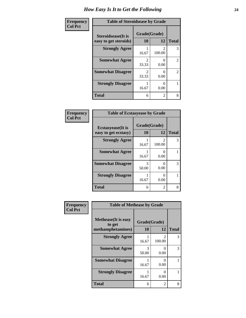| Frequency      | <b>Table of Steroidsease by Grade</b>               |                         |                                       |                |  |
|----------------|-----------------------------------------------------|-------------------------|---------------------------------------|----------------|--|
| <b>Col Pct</b> | <b>Steroidsease</b> (It is<br>easy to get steroids) | Grade(Grade)<br>10      | 12                                    | <b>Total</b>   |  |
|                | <b>Strongly Agree</b>                               | 16.67                   | $\mathcal{D}_{\mathcal{A}}$<br>100.00 | 3              |  |
|                | <b>Somewhat Agree</b>                               | $\mathfrak{D}$<br>33.33 | $\mathcal{O}$<br>0.00                 | 2              |  |
|                | <b>Somewhat Disagree</b>                            | $\mathfrak{D}$<br>33.33 | 0.00                                  | $\overline{2}$ |  |
|                | <b>Strongly Disagree</b>                            | 16.67                   | 0.00                                  |                |  |
|                | <b>Total</b>                                        | 6                       | 2                                     | 8              |  |

| Frequency      | <b>Table of Ecstasyease by Grade</b>              |                    |                           |              |  |
|----------------|---------------------------------------------------|--------------------|---------------------------|--------------|--|
| <b>Col Pct</b> | <b>Ecstasyease</b> (It is<br>easy to get ecstasy) | Grade(Grade)<br>10 | 12                        | <b>Total</b> |  |
|                | <b>Strongly Agree</b>                             | 16.67              | 2<br>100.00               | 3            |  |
|                | <b>Somewhat Agree</b>                             | 16.67              | 0.00                      |              |  |
|                | <b>Somewhat Disagree</b>                          | 3<br>50.00         | $\mathbf{\Omega}$<br>0.00 | 3            |  |
|                | <b>Strongly Disagree</b>                          | 16.67              | 0<br>0.00                 |              |  |
|                | <b>Total</b>                                      | 6                  | 2                         | 8            |  |

| Frequency      | <b>Table of Methease by Grade</b>                          |                    |                       |              |
|----------------|------------------------------------------------------------|--------------------|-----------------------|--------------|
| <b>Col Pct</b> | <b>Methease</b> (It is easy<br>to get<br>methamphetamines) | Grade(Grade)<br>10 | 12                    | <b>Total</b> |
|                | <b>Strongly Agree</b>                                      | 16.67              | 2<br>100.00           | 3            |
|                | <b>Somewhat Agree</b>                                      | 3<br>50.00         | 0<br>0.00             | 3            |
|                | <b>Somewhat Disagree</b>                                   | 16.67              | $\mathcal{O}$<br>0.00 |              |
|                | <b>Strongly Disagree</b>                                   | 16.67              | 0<br>0.00             |              |
|                | <b>Total</b>                                               | 6                  | 2                     | 8            |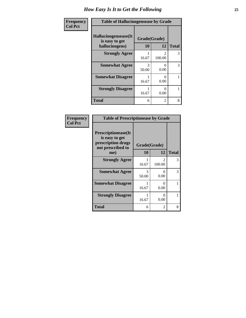| Frequency      | <b>Table of Hallucinogensease by Grade</b>               |                           |                           |              |
|----------------|----------------------------------------------------------|---------------------------|---------------------------|--------------|
| <b>Col Pct</b> | Hallucinogensease(It<br>is easy to get<br>hallucinogens) | Grade(Grade)<br><b>10</b> | 12                        | <b>Total</b> |
|                | <b>Strongly Agree</b>                                    | 16.67                     | $\mathcal{D}$<br>100.00   | 3            |
|                | <b>Somewhat Agree</b>                                    | 3<br>50.00                | 0<br>0.00                 | 3            |
|                | <b>Somewhat Disagree</b>                                 | 16.67                     | $\mathbf{\Omega}$<br>0.00 |              |
|                | <b>Strongly Disagree</b>                                 | 16.67                     | 0<br>0.00                 |              |
|                | <b>Total</b>                                             | 6                         | $\mathfrak{D}$            | 8            |

| Frequency<br>Col Pct |
|----------------------|
|                      |

| <b>Table of Prescriptionease by Grade</b>                                                |              |                                       |              |  |
|------------------------------------------------------------------------------------------|--------------|---------------------------------------|--------------|--|
| <b>Prescriptionease</b> (It<br>is easy to get<br>prescription drugs<br>not prescribed to | Grade(Grade) |                                       |              |  |
| me)                                                                                      | 10           | 12                                    | <b>Total</b> |  |
| <b>Strongly Agree</b>                                                                    | 16.67        | $\mathcal{D}_{\mathcal{L}}$<br>100.00 | 3            |  |
| <b>Somewhat Agree</b>                                                                    | 3<br>50.00   | 0<br>0.00                             | 3            |  |
| <b>Somewhat Disagree</b>                                                                 | 16.67        | 0<br>0.00                             | 1            |  |
| <b>Strongly Disagree</b>                                                                 | 16.67        | ∩<br>0.00                             |              |  |
| <b>Total</b>                                                                             | 6            | $\overline{2}$                        | 8            |  |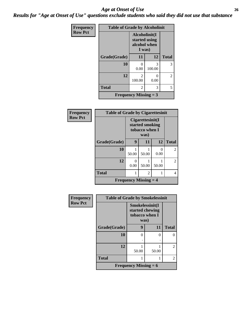#### *Age at Onset of Use* **26** *Results for "Age at Onset of Use" questions exclude students who said they did not use that substance*

| Frequency      | <b>Table of Grade by Alcoholinit</b> |                                                          |             |                |  |
|----------------|--------------------------------------|----------------------------------------------------------|-------------|----------------|--|
| <b>Row Pct</b> |                                      | Alcoholinit(I<br>started using<br>alcohol when<br>I was) |             |                |  |
|                | Grade(Grade)                         | 11                                                       | 12          | <b>Total</b>   |  |
|                | 10                                   | 0<br>0.00                                                | 3<br>100.00 | 3              |  |
|                | 12                                   | $\mathfrak{D}$<br>100.00                                 | 0<br>0.00   | $\overline{2}$ |  |
|                | <b>Total</b>                         | 2                                                        | 3           | 5              |  |
|                |                                      | <b>Frequency Missing = 3</b>                             |             |                |  |

| <b>Frequency</b> | <b>Table of Grade by Cigarettesinit</b> |                                                                 |                                           |           |                |
|------------------|-----------------------------------------|-----------------------------------------------------------------|-------------------------------------------|-----------|----------------|
| <b>Row Pct</b>   |                                         | Cigare ttesinit(I)<br>started smoking<br>tobacco when I<br>was) |                                           |           |                |
|                  | Grade(Grade)                            | 9                                                               | 11                                        | 12        | <b>Total</b>   |
|                  | 10                                      | 50.00                                                           | 50.00                                     | 0<br>0.00 | $\mathfrak{D}$ |
|                  | 12                                      | 0<br>0.00                                                       | 50.00                                     | 50.00     | $\overline{c}$ |
|                  | <b>Total</b>                            |                                                                 | 2                                         |           | 4              |
|                  |                                         |                                                                 | <b>Frequency Missing <math>=</math> 4</b> |           |                |

| Frequency      | <b>Table of Grade by Smokelessinit</b> |                                                              |       |                |
|----------------|----------------------------------------|--------------------------------------------------------------|-------|----------------|
| <b>Row Pct</b> |                                        | Smokelessinit(I<br>started chewing<br>tobacco when I<br>was) |       |                |
|                | Grade(Grade)                           | 9                                                            | 11    | <b>Total</b>   |
|                | 10                                     | 0                                                            | 0     | 0              |
|                |                                        | ٠                                                            |       |                |
|                | 12                                     | 50.00                                                        | 50.00 | $\overline{2}$ |
|                | <b>Total</b>                           |                                                              |       | $\overline{2}$ |
|                |                                        | Frequency Missing $= 6$                                      |       |                |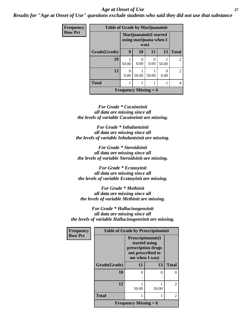#### *Age at Onset of Use* **27**

*Results for "Age at Onset of Use" questions exclude students who said they did not use that substance*

| Frequency      | <b>Table of Grade by Marijuanainit</b><br>Marijuanainit (I started<br>using marijuana when I<br>was) |           |                                           |           |       |                |
|----------------|------------------------------------------------------------------------------------------------------|-----------|-------------------------------------------|-----------|-------|----------------|
| <b>Row Pct</b> |                                                                                                      |           |                                           |           |       |                |
|                | Grade(Grade)                                                                                         | 9         | <b>10</b>                                 | <b>11</b> | 13    | <b>Total</b>   |
|                | 10                                                                                                   | 50.00     | $\Omega$<br>0.00                          | 0<br>0.00 | 50.00 | $\overline{2}$ |
|                | 12                                                                                                   | 0<br>0.00 | 50.00                                     | 50.00     | 0.00  | $\overline{2}$ |
|                | <b>Total</b>                                                                                         |           |                                           |           |       | 4              |
|                |                                                                                                      |           | <b>Frequency Missing <math>=</math> 4</b> |           |       |                |

*For Grade \* Cocaineinit all data are missing since all the levels of variable Cocaineinit are missing.*

*For Grade \* Inhalantsinit all data are missing since all the levels of variable Inhalantsinit are missing.*

*For Grade \* Steroidsinit all data are missing since all the levels of variable Steroidsinit are missing.*

*For Grade \* Ecstasyinit all data are missing since all the levels of variable Ecstasyinit are missing.*

*For Grade \* Methinit all data are missing since all the levels of variable Methinit are missing.*

*For Grade \* Hallucinogensinit all data are missing since all the levels of variable Hallucinogensinit are missing.*

| <b>Frequency</b> | <b>Table of Grade by Prescriptioninit</b> |                                                                                                  |                   |                |  |
|------------------|-------------------------------------------|--------------------------------------------------------------------------------------------------|-------------------|----------------|--|
| <b>Row Pct</b>   |                                           | Prescriptioninit(I<br>started using<br>prescription drugs<br>not prescribed to<br>me when I was) |                   |                |  |
|                  | Grade(Grade)                              | 11                                                                                               | 13                | <b>Total</b>   |  |
|                  | 10                                        | 0                                                                                                | $\mathbf{\Omega}$ |                |  |
|                  |                                           |                                                                                                  |                   |                |  |
|                  | 12                                        | 50.00                                                                                            | 50.00             | $\mathfrak{D}$ |  |
|                  | <b>Total</b>                              |                                                                                                  |                   | 2              |  |
|                  |                                           | <b>Frequency Missing = 6</b>                                                                     |                   |                |  |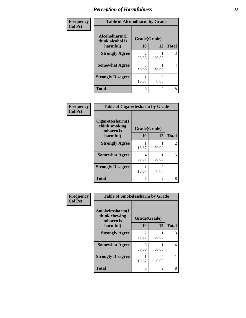| Frequency      | <b>Table of Alcoholharm by Grade</b> |              |                |              |
|----------------|--------------------------------------|--------------|----------------|--------------|
| <b>Col Pct</b> | Alcoholharm(I<br>think alcohol is    | Grade(Grade) |                |              |
|                | harmful)                             | 10           | 12             | <b>Total</b> |
|                | <b>Strongly Agree</b>                | 2<br>33.33   | 50.00          | 3            |
|                | <b>Somewhat Agree</b>                | 3<br>50.00   | 50.00          | 4            |
|                | <b>Strongly Disagree</b>             | 16.67        | 0.00           |              |
|                | <b>Total</b>                         | 6            | $\overline{c}$ | 8            |

| Frequency      | <b>Table of Cigarettesharm by Grade</b>         |              |                           |              |
|----------------|-------------------------------------------------|--------------|---------------------------|--------------|
| <b>Col Pct</b> | Cigarettesharm(I<br>think smoking<br>tobacco is | Grade(Grade) |                           |              |
|                | harmful)                                        | 10           | 12                        | <b>Total</b> |
|                | <b>Strongly Agree</b>                           | 16.67        | 50.00                     | 2            |
|                | <b>Somewhat Agree</b>                           | 4<br>66.67   | 50.00                     | 5            |
|                | <b>Strongly Disagree</b>                        | 16.67        | $\mathbf{\Omega}$<br>0.00 |              |
|                | <b>Total</b>                                    | 6            | 2                         | 8            |

| Frequency      | <b>Table of Smokelessharm by Grade</b>         |                         |                |                |
|----------------|------------------------------------------------|-------------------------|----------------|----------------|
| <b>Col Pct</b> | Smokelessharm(I<br>think chewing<br>tobacco is | Grade(Grade)            |                |                |
|                | harmful)                                       | 10                      | 12             | <b>Total</b>   |
|                | <b>Strongly Agree</b>                          | $\mathfrak{D}$<br>33.33 | 50.00          | 3              |
|                | <b>Somewhat Agree</b>                          | 3<br>50.00              | 50.00          | $\overline{4}$ |
|                | <b>Strongly Disagree</b>                       | 16.67                   | 0<br>0.00      |                |
|                | <b>Total</b>                                   | 6                       | $\mathfrak{D}$ | 8              |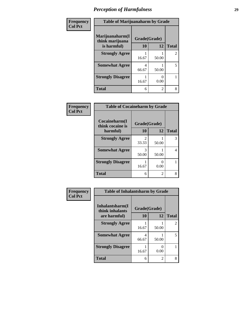| Frequency<br><b>Col Pct</b> | <b>Table of Marijuanaharm by Grade</b>            |            |                    |                                |
|-----------------------------|---------------------------------------------------|------------|--------------------|--------------------------------|
|                             | Marijuanaharm(I<br>think marijuana<br>is harmful) | 10         | Grade(Grade)<br>12 |                                |
|                             | <b>Strongly Agree</b>                             | 16.67      | 50.00              | <b>Total</b><br>$\overline{2}$ |
|                             | <b>Somewhat Agree</b>                             | 4<br>66.67 | 50.00              | 5                              |
|                             | <b>Strongly Disagree</b>                          | 16.67      | 0.00               |                                |
|                             | <b>Total</b>                                      | 6          | $\overline{2}$     | 8                              |

| Frequency      | <b>Table of Cocaineharm by Grade</b> |                         |           |              |
|----------------|--------------------------------------|-------------------------|-----------|--------------|
| <b>Col Pct</b> | Cocaineharm(I<br>think cocaine is    | Grade(Grade)            |           |              |
|                | harmful)                             | 10                      | 12        | <b>Total</b> |
|                | <b>Strongly Agree</b>                | $\mathfrak{D}$<br>33.33 | 50.00     | 3            |
|                | <b>Somewhat Agree</b>                | 3<br>50.00              | 50.00     | 4            |
|                | <b>Strongly Disagree</b>             | 16.67                   | 0<br>0.00 |              |
|                | <b>Total</b>                         | 6                       | 2         | 8            |

| Frequency      | <b>Table of Inhalantsharm by Grade</b> |              |                |                |
|----------------|----------------------------------------|--------------|----------------|----------------|
| <b>Col Pct</b> | Inhalantsharm(I<br>think inhalants     | Grade(Grade) |                |                |
|                | are harmful)                           | 10           | 12             | <b>Total</b>   |
|                | <b>Strongly Agree</b>                  | 16.67        | 50.00          | $\overline{2}$ |
|                | <b>Somewhat Agree</b>                  | 4<br>66.67   | 50.00          | 5              |
|                | <b>Strongly Disagree</b>               | 16.67        | 0.00           |                |
|                | <b>Total</b>                           | 6            | $\mathfrak{D}$ | 8              |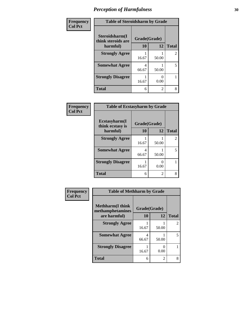| Frequency      | <b>Table of Steroidsharm by Grade</b> |              |                |                |
|----------------|---------------------------------------|--------------|----------------|----------------|
| <b>Col Pct</b> | Steroidsharm(I<br>think steroids are  | Grade(Grade) |                |                |
|                | harmful)                              | 10           | 12             | <b>Total</b>   |
|                | <b>Strongly Agree</b>                 | 16.67        | 50.00          | $\overline{2}$ |
|                | <b>Somewhat Agree</b>                 | 4<br>66.67   | 50.00          | 5              |
|                | <b>Strongly Disagree</b>              | 16.67        | 0.00           |                |
|                | <b>Total</b>                          | 6            | $\mathfrak{D}$ | 8              |

| Frequency      | <b>Table of Ecstasyharm by Grade</b> |              |                |                |
|----------------|--------------------------------------|--------------|----------------|----------------|
| <b>Col Pct</b> | Ecstasyharm(I<br>think ecstasy is    | Grade(Grade) |                |                |
|                | harmful)                             | 10           | 12             | <b>Total</b>   |
|                | <b>Strongly Agree</b>                | 16.67        | 50.00          | $\overline{2}$ |
|                | <b>Somewhat Agree</b>                | 4<br>66.67   | 50.00          | 5              |
|                | <b>Strongly Disagree</b>             | 16.67        | 0.00           |                |
|                | <b>Total</b>                         | 6            | $\mathfrak{D}$ | 8              |

| Frequency      | <b>Table of Methharm by Grade</b>            |              |           |                |
|----------------|----------------------------------------------|--------------|-----------|----------------|
| <b>Col Pct</b> | <b>Methharm</b> (I think<br>methamphetamines | Grade(Grade) |           |                |
|                | are harmful)                                 | 10           | 12        | <b>Total</b>   |
|                | <b>Strongly Agree</b>                        | 16.67        | 50.00     | $\overline{2}$ |
|                | <b>Somewhat Agree</b>                        | 4<br>66.67   | 50.00     | 5              |
|                | <b>Strongly Disagree</b>                     | 16.67        | 0<br>0.00 |                |
|                | <b>Total</b>                                 | 6            | 2         | 8              |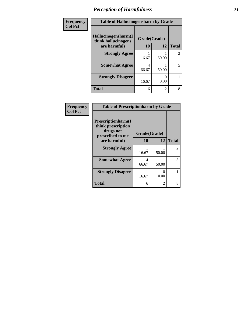| Frequency      | <b>Table of Hallucinogensharm by Grade</b>                 |                    |                |                |
|----------------|------------------------------------------------------------|--------------------|----------------|----------------|
| <b>Col Pct</b> | Hallucinogensharm(I<br>think hallucinogens<br>are harmful) | Grade(Grade)<br>10 | 12             | <b>Total</b>   |
|                | <b>Strongly Agree</b>                                      |                    |                | $\overline{c}$ |
|                |                                                            | 16.67              | 50.00          |                |
|                | <b>Somewhat Agree</b>                                      | 4<br>66.67         | 50.00          | 5              |
|                | <b>Strongly Disagree</b>                                   | 16.67              | ∩<br>0.00      |                |
|                | <b>Total</b>                                               | 6                  | $\overline{c}$ | 8              |

| Frequency      | <b>Table of Prescriptionharm by Grade</b>                                         |              |                           |                |
|----------------|-----------------------------------------------------------------------------------|--------------|---------------------------|----------------|
| <b>Col Pct</b> | <b>Prescriptionharm(I)</b><br>think prescription<br>drugs not<br>prescribed to me | Grade(Grade) |                           |                |
|                | are harmful)                                                                      | 10           | 12                        | <b>Total</b>   |
|                | <b>Strongly Agree</b>                                                             | 16.67        | 50.00                     | $\overline{c}$ |
|                | <b>Somewhat Agree</b>                                                             | 4<br>66.67   | 50.00                     | 5              |
|                | <b>Strongly Disagree</b>                                                          | 16.67        | $\mathbf{\Omega}$<br>0.00 |                |
|                | <b>Total</b>                                                                      | 6            | 2                         | 8              |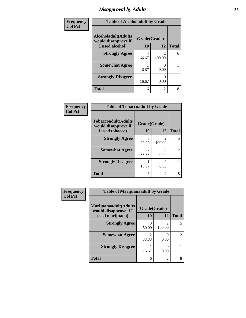### *Disapproval by Adults* **32**

| Frequency      | <b>Table of Alcoholadult by Grade</b>      |              |                |              |
|----------------|--------------------------------------------|--------------|----------------|--------------|
| <b>Col Pct</b> | Alcoholadult(Adults<br>would disapprove if | Grade(Grade) |                |              |
|                | I used alcohol)                            | 10           | 12             | <b>Total</b> |
|                | <b>Strongly Agree</b>                      | 4<br>66.67   | 2<br>100.00    | 6            |
|                | <b>Somewhat Agree</b>                      | 16.67        | 0.00           |              |
|                | <b>Strongly Disagree</b>                   | 16.67        | 0.00           |              |
|                | <b>Total</b>                               | 6            | $\mathfrak{D}$ | 8            |

| Frequency      | <b>Table of Tobaccoadult by Grade</b>             |              |             |                |
|----------------|---------------------------------------------------|--------------|-------------|----------------|
| <b>Col Pct</b> | <b>Tobaccoadult(Adults</b><br>would disapprove if | Grade(Grade) |             |                |
|                | I used tobacco)                                   | 10           | 12          | <b>Total</b>   |
|                | <b>Strongly Agree</b>                             | 3<br>50.00   | 2<br>100.00 | 5              |
|                | <b>Somewhat Agree</b>                             | 33.33        | 0<br>0.00   | $\mathfrak{D}$ |
|                | <b>Strongly Disagree</b>                          | 16.67        | 0<br>0.00   |                |
|                | <b>Total</b>                                      | 6            | 2           | 8              |

| <b>Frequency</b> | <b>Table of Marijuanaadult by Grade</b>        |              |                          |                |
|------------------|------------------------------------------------|--------------|--------------------------|----------------|
| <b>Col Pct</b>   | Marijuanaadult(Adults<br>would disapprove if I | Grade(Grade) |                          |                |
|                  | used marijuana)                                | 10           | 12                       | <b>Total</b>   |
|                  | <b>Strongly Agree</b>                          | 3<br>50.00   | $\overline{c}$<br>100.00 | 5              |
|                  | <b>Somewhat Agree</b>                          | 2<br>33.33   | 0<br>0.00                | $\mathfrak{D}$ |
|                  | <b>Strongly Disagree</b>                       | 16.67        | 0<br>0.00                |                |
|                  | <b>Total</b>                                   | 6            | $\overline{c}$           | 8              |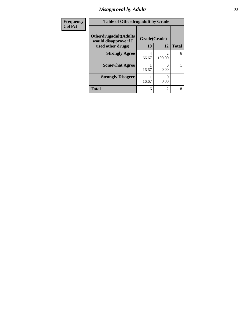### *Disapproval by Adults* **33**

| Frequency      | <b>Table of Otherdrugadult by Grade</b>                                     |                    |             |              |
|----------------|-----------------------------------------------------------------------------|--------------------|-------------|--------------|
| <b>Col Pct</b> | <b>Otherdrugadult</b> (Adults<br>would disapprove if I<br>used other drugs) | Grade(Grade)<br>10 | 12          | <b>Total</b> |
|                | <b>Strongly Agree</b>                                                       | 4<br>66.67         | 2<br>100.00 | 6            |
|                | <b>Somewhat Agree</b>                                                       | 16.67              | 0.00        |              |
|                | <b>Strongly Disagree</b>                                                    | 16.67              | 0<br>0.00   |              |
|                | <b>Total</b>                                                                | 6                  | 2           | 8            |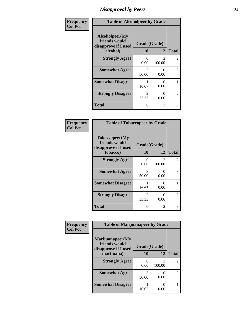### *Disapproval by Peers* **34**

| Frequency      | <b>Table of Alcoholpeer by Grade</b>                    |                           |                                       |              |
|----------------|---------------------------------------------------------|---------------------------|---------------------------------------|--------------|
| <b>Col Pct</b> | Alcoholpeer(My<br>friends would<br>disapprove if I used | Grade(Grade)              |                                       |              |
|                | alcohol)                                                | 10                        | 12                                    | <b>Total</b> |
|                | <b>Strongly Agree</b>                                   | $\mathbf{\Omega}$<br>0.00 | $\mathcal{D}_{\mathcal{A}}$<br>100.00 | 2            |
|                | <b>Somewhat Agree</b>                                   | 3<br>50.00                | $\Omega$<br>0.00                      | 3            |
|                | <b>Somewhat Disagree</b>                                | 16.67                     | 0.00                                  |              |
|                | <b>Strongly Disagree</b>                                | $\mathfrak{D}$<br>33.33   | 0<br>0.00                             | 2            |
|                | <b>Total</b>                                            | 6                         | $\overline{2}$                        | 8            |

| Frequency      | <b>Table of Tobaccopeer by Grade</b>                    |                         |                                       |              |
|----------------|---------------------------------------------------------|-------------------------|---------------------------------------|--------------|
| <b>Col Pct</b> | Tobaccopeer(My<br>friends would<br>disapprove if I used | Grade(Grade)            |                                       |              |
|                | tobacco)                                                | 10                      | 12                                    | <b>Total</b> |
|                | <b>Strongly Agree</b>                                   | 0<br>0.00               | $\mathcal{D}_{\mathcal{L}}$<br>100.00 | 2            |
|                | <b>Somewhat Agree</b>                                   | 3<br>50.00              | $\Omega$<br>0.00                      | 3            |
|                | <b>Somewhat Disagree</b>                                | 16.67                   | $\mathbf{\Omega}$<br>0.00             |              |
|                | <b>Strongly Disagree</b>                                | $\mathfrak{D}$<br>33.33 | 0<br>0.00                             | 2            |
|                | <b>Total</b>                                            | 6                       | 2                                     | 8            |

| Frequency      | <b>Table of Marijuanapeer by Grade</b>                    |              |             |                |
|----------------|-----------------------------------------------------------|--------------|-------------|----------------|
| <b>Col Pct</b> | Marijuanapeer(My<br>friends would<br>disapprove if I used | Grade(Grade) |             |                |
|                | marijuana)                                                | <b>10</b>    | 12          | <b>Total</b>   |
|                | <b>Strongly Agree</b>                                     | 0<br>0.00    | 2<br>100.00 | $\mathfrak{D}$ |
|                | <b>Somewhat Agree</b>                                     | 3<br>50.00   | 0.00        | 3              |
|                | <b>Somewhat Disagree</b>                                  | 16.67        | 0.00        |                |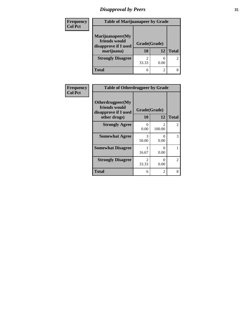### *Disapproval by Peers* **35**

| <b>Frequency</b> | <b>Table of Marijuanapeer by Grade</b>                                  |                    |      |                |
|------------------|-------------------------------------------------------------------------|--------------------|------|----------------|
| <b>Col Pct</b>   | Marijuanapeer(My<br>friends would<br>disapprove if I used<br>marijuana) | Grade(Grade)<br>10 | 12   | <b>Total</b>   |
|                  | <b>Strongly Disagree</b>                                                | 33.33              | 0.00 | $\overline{c}$ |
|                  | <b>Total</b>                                                            |                    | 2    | 8              |

| Frequency      | <b>Table of Otherdrugpeer by Grade</b>                                    |                           |                                       |               |
|----------------|---------------------------------------------------------------------------|---------------------------|---------------------------------------|---------------|
| <b>Col Pct</b> | Otherdrugpeer(My<br>friends would<br>disapprove if I used<br>other drugs) | Grade(Grade)<br>10        | 12                                    | <b>Total</b>  |
|                | <b>Strongly Agree</b>                                                     | $\mathbf{\Omega}$<br>0.00 | $\mathcal{D}_{\mathcal{L}}$<br>100.00 | $\mathcal{L}$ |
|                | <b>Somewhat Agree</b>                                                     | 3<br>50.00                | 0<br>0.00                             | 3             |
|                | <b>Somewhat Disagree</b>                                                  | 16.67                     | 0<br>0.00                             |               |
|                | <b>Strongly Disagree</b>                                                  | $\mathfrak{D}$<br>33.33   | 0<br>0.00                             | 2             |
|                | Total                                                                     | 6                         | 2                                     | 8             |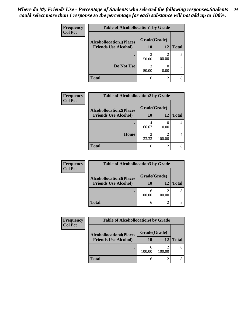#### *Where do My Friends Use - Percentage of Students who selected the following responses.Students could select more than 1 response so the percentage for each substance will not add up to 100%.* **36**

| Frequency      | <b>Table of Alcohollocation1 by Grade</b> |              |                |              |
|----------------|-------------------------------------------|--------------|----------------|--------------|
| <b>Col Pct</b> | <b>Alcohollocation1(Places</b>            | Grade(Grade) |                |              |
|                | <b>Friends Use Alcohol)</b>               | 10           | 12             | <b>Total</b> |
|                |                                           | 3<br>50.00   | 2<br>100.00    |              |
|                | Do Not Use                                | 3<br>50.00   | 0.00           | 3            |
|                | <b>Total</b>                              | 6            | $\overline{2}$ | 8            |

| Frequency      | <b>Table of Alcohollocation2 by Grade</b> |                         |                             |              |
|----------------|-------------------------------------------|-------------------------|-----------------------------|--------------|
| <b>Col Pct</b> | <b>Alcohollocation2(Places</b>            | Grade(Grade)            |                             |              |
|                | <b>Friends Use Alcohol)</b>               | 10                      | 12                          | <b>Total</b> |
|                |                                           | 66.67                   | 0.00                        |              |
|                | Home                                      | $\overline{c}$<br>33.33 | 100.00                      |              |
|                | <b>Total</b>                              | 6                       | $\mathcal{D}_{\mathcal{A}}$ |              |

| <b>Frequency</b> | <b>Table of Alcohollocation3 by Grade</b> |              |        |              |
|------------------|-------------------------------------------|--------------|--------|--------------|
| <b>Col Pct</b>   | <b>Alcohollocation3(Places</b>            | Grade(Grade) |        |              |
|                  | <b>Friends Use Alcohol)</b>               | 10           | 12     | <b>Total</b> |
|                  |                                           | 6<br>100.00  | 100.00 |              |
|                  | <b>Total</b>                              | 6            |        |              |

| Frequency      | <b>Table of Alcohollocation4 by Grade</b> |              |        |              |
|----------------|-------------------------------------------|--------------|--------|--------------|
| <b>Col Pct</b> | <b>Alcohollocation4(Places</b>            | Grade(Grade) |        |              |
|                | <b>Friends Use Alcohol)</b>               | 10           | 12     | <b>Total</b> |
|                |                                           | 100.00       | 100.00 | 8            |
|                | <b>Total</b>                              | 6            | ◠      | 8            |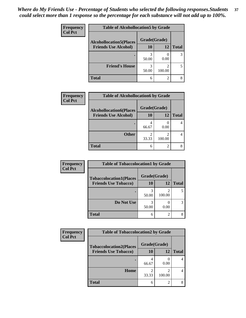| Frequency      | <b>Table of Alcohollocation5 by Grade</b> |              |                |              |  |
|----------------|-------------------------------------------|--------------|----------------|--------------|--|
| <b>Col Pct</b> | <b>Alcohollocation5(Places</b>            | Grade(Grade) |                |              |  |
|                | <b>Friends Use Alcohol)</b>               | 10           | 12             | <b>Total</b> |  |
|                |                                           | 3<br>50.00   | 0.00           |              |  |
|                | <b>Friend's House</b>                     | 3<br>50.00   | 2<br>100.00    |              |  |
|                | <b>Total</b>                              | 6            | $\overline{2}$ |              |  |

| <b>Frequency</b> | <b>Table of Alcohollocation6 by Grade</b> |              |                             |              |
|------------------|-------------------------------------------|--------------|-----------------------------|--------------|
| <b>Col Pct</b>   | <b>Alcohollocation6(Places</b>            | Grade(Grade) |                             |              |
|                  | <b>Friends Use Alcohol)</b>               | 10           | 12                          | <b>Total</b> |
|                  |                                           | 66.67        | 0.00                        |              |
|                  | <b>Other</b>                              | 33.33        | 100.00                      |              |
|                  | <b>Total</b>                              | 6            | $\mathcal{D}_{\mathcal{L}}$ |              |

| <b>Frequency</b> | <b>Table of Tobaccolocation1 by Grade</b> |              |               |              |
|------------------|-------------------------------------------|--------------|---------------|--------------|
| <b>Col Pct</b>   | <b>Tobaccolocation1(Places</b>            | Grade(Grade) |               |              |
|                  | <b>Friends Use Tobacco)</b>               | 10           | 12            | <b>Total</b> |
|                  |                                           | 50.00        | 100.00        |              |
|                  | Do Not Use                                | 50.00        | 0.00          |              |
|                  | <b>Total</b>                              | 6            | $\mathcal{D}$ |              |

| <b>Frequency</b> | <b>Table of Tobaccolocation2 by Grade</b> |              |        |              |  |
|------------------|-------------------------------------------|--------------|--------|--------------|--|
| <b>Col Pct</b>   | <b>Tobaccolocation2(Places</b>            | Grade(Grade) |        |              |  |
|                  | <b>Friends Use Tobacco)</b>               | 10           | 12     | <b>Total</b> |  |
|                  |                                           | 66.67        | 0.00   |              |  |
|                  | Home                                      | 33.33        | 100.00 |              |  |
|                  | <b>Total</b>                              | 6            | 2      |              |  |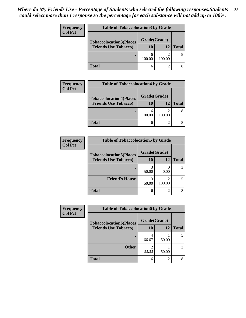| Frequency<br><b>Col Pct</b> | <b>Table of Tobaccolocation3 by Grade</b> |              |        |              |  |
|-----------------------------|-------------------------------------------|--------------|--------|--------------|--|
|                             | <b>Tobaccolocation3(Places</b>            | Grade(Grade) |        |              |  |
|                             | <b>Friends Use Tobacco)</b>               | 10           | 12     | <b>Total</b> |  |
|                             |                                           | 100.00       | 100.00 |              |  |
|                             | <b>Total</b>                              | 6            |        |              |  |

| <b>Frequency</b> | <b>Table of Tobaccolocation4 by Grade</b> |              |        |              |  |
|------------------|-------------------------------------------|--------------|--------|--------------|--|
| <b>Col Pct</b>   | <b>Tobaccolocation4(Places</b>            | Grade(Grade) |        |              |  |
|                  | <b>Friends Use Tobacco)</b>               | 10           | 12     | <b>Total</b> |  |
|                  |                                           | 100.00       | 100.00 |              |  |
|                  | <b>Total</b>                              |              |        |              |  |

| <b>Frequency</b> | <b>Table of Tobaccolocation5 by Grade</b> |              |        |              |
|------------------|-------------------------------------------|--------------|--------|--------------|
| <b>Col Pct</b>   | <b>Tobaccolocation5(Places</b>            | Grade(Grade) |        |              |
|                  | <b>Friends Use Tobacco)</b>               | 10           | 12     | <b>Total</b> |
|                  |                                           | 50.00        | 0.00   |              |
|                  | <b>Friend's House</b>                     | 50.00        | 100.00 |              |
|                  | <b>Total</b>                              | 6            |        |              |

| <b>Frequency</b> | <b>Table of Tobaccolocation6 by Grade</b> |              |       |              |
|------------------|-------------------------------------------|--------------|-------|--------------|
| <b>Col Pct</b>   | <b>Tobaccolocation6(Places</b>            | Grade(Grade) |       |              |
|                  | <b>Friends Use Tobacco)</b>               | 10           | 12    | <b>Total</b> |
|                  |                                           | 66.67        | 50.00 |              |
|                  | <b>Other</b>                              | 33.33        | 50.00 | 3            |
|                  | <b>Total</b>                              | 6            |       |              |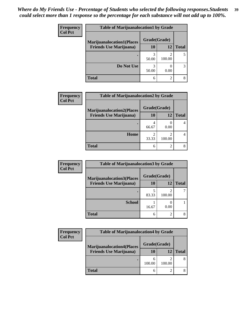| <b>Frequency</b> | <b>Table of Marijuanalocation1 by Grade</b> |              |        |              |
|------------------|---------------------------------------------|--------------|--------|--------------|
| <b>Col Pct</b>   | <b>Marijuanalocation1(Places</b>            | Grade(Grade) |        |              |
|                  | <b>Friends Use Marijuana</b> )              | <b>10</b>    | 12     | <b>Total</b> |
|                  |                                             | 50.00        | 100.00 |              |
|                  | Do Not Use                                  | 3<br>50.00   | 0.00   |              |
|                  | <b>Total</b>                                | 6            | 2      |              |

| <b>Frequency</b> | <b>Table of Marijuanalocation2 by Grade</b>                        |                    |                |              |
|------------------|--------------------------------------------------------------------|--------------------|----------------|--------------|
| <b>Col Pct</b>   | <b>Marijuanalocation2(Places</b><br><b>Friends Use Marijuana</b> ) | Grade(Grade)<br>10 | 12             | <b>Total</b> |
|                  |                                                                    | 66.67              | 0.00           |              |
|                  | Home                                                               | 33.33              | 100.00         |              |
|                  | <b>Total</b>                                                       | 6                  | $\mathfrak{D}$ |              |

| Frequency      | <b>Table of Marijuanalocation3 by Grade</b> |              |             |              |  |  |
|----------------|---------------------------------------------|--------------|-------------|--------------|--|--|
| <b>Col Pct</b> | <b>Marijuanalocation3</b> (Places           | Grade(Grade) |             |              |  |  |
|                | <b>Friends Use Marijuana</b> )              | 10           | 12          | <b>Total</b> |  |  |
|                |                                             | 83.33        | 2<br>100.00 |              |  |  |
|                | <b>School</b>                               | 16.67        | 0.00        |              |  |  |
|                | <b>Total</b>                                | 6            | 2           |              |  |  |

| <b>Frequency</b> | <b>Table of Marijuanalocation4 by Grade</b> |              |        |       |
|------------------|---------------------------------------------|--------------|--------|-------|
| <b>Col Pct</b>   | <b>Marijuanalocation4(Places</b>            | Grade(Grade) |        |       |
|                  | <b>Friends Use Marijuana</b> )              | 10           | 12     | Total |
|                  |                                             | 100.00       | 100.00 |       |
|                  | <b>Total</b>                                |              |        |       |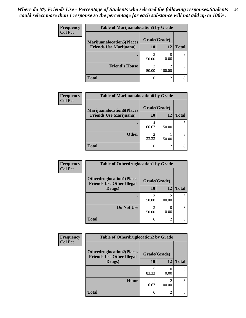| <b>Frequency</b> | <b>Table of Marijuanalocation5 by Grade</b> |              |             |              |  |
|------------------|---------------------------------------------|--------------|-------------|--------------|--|
| <b>Col Pct</b>   | <b>Marijuanalocation5</b> (Places           | Grade(Grade) |             |              |  |
|                  | <b>Friends Use Marijuana</b> )              | 10           | 12          | <b>Total</b> |  |
|                  |                                             | 50.00        | 0.00        |              |  |
|                  | <b>Friend's House</b>                       | 50.00        | ◠<br>100.00 |              |  |
|                  | <b>Total</b>                                | 6            | ◠           |              |  |

| <b>Frequency</b> | <b>Table of Marijuanalocation6 by Grade</b>                        |                           |       |              |
|------------------|--------------------------------------------------------------------|---------------------------|-------|--------------|
| <b>Col Pct</b>   | <b>Marijuanalocation6(Places</b><br><b>Friends Use Marijuana</b> ) | Grade(Grade)<br><b>10</b> | 12    | <b>Total</b> |
|                  |                                                                    | 66.67                     | 50.00 |              |
|                  | <b>Other</b>                                                       | 2<br>33.33                | 50.00 |              |
|                  | <b>Total</b>                                                       | 6                         | 2     |              |

| Frequency      | <b>Table of Otherdruglocation1 by Grade</b>                          |              |             |              |
|----------------|----------------------------------------------------------------------|--------------|-------------|--------------|
| <b>Col Pct</b> | <b>Otherdruglocation1(Places</b><br><b>Friends Use Other Illegal</b> | Grade(Grade) |             |              |
|                | Drugs)                                                               | 10           | 12          | <b>Total</b> |
|                |                                                                      | 50.00        | ∍<br>100.00 |              |
|                | Do Not Use                                                           | 50.00        | 0.00        |              |
|                | <b>Total</b>                                                         | 6            | 2           | 8            |

| <b>Frequency</b> | <b>Table of Otherdruglocation2 by Grade</b>                          |              |                          |              |
|------------------|----------------------------------------------------------------------|--------------|--------------------------|--------------|
| <b>Col Pct</b>   | <b>Otherdruglocation2(Places</b><br><b>Friends Use Other Illegal</b> | Grade(Grade) |                          |              |
|                  | Drugs)                                                               | 10           | 12                       | <b>Total</b> |
|                  |                                                                      | 83.33        | 0.00                     | 5            |
|                  | Home                                                                 | 16.67        | $\mathfrak{D}$<br>100.00 | 3            |
|                  | Total                                                                | 6            | $\mathfrak{D}$           | 8            |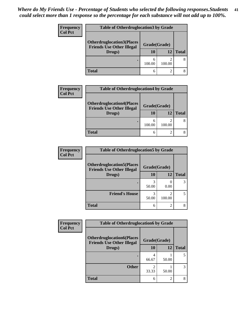| <b>Frequency</b><br><b>Col Pct</b> | <b>Table of Otherdruglocation 3 by Grade</b>                         |              |        |              |  |
|------------------------------------|----------------------------------------------------------------------|--------------|--------|--------------|--|
|                                    | <b>Otherdruglocation3(Places</b><br><b>Friends Use Other Illegal</b> | Grade(Grade) |        |              |  |
|                                    | Drugs)                                                               | <b>10</b>    | 12     | <b>Total</b> |  |
|                                    |                                                                      | 100.00       | 100.00 | 8            |  |
|                                    | Total                                                                |              |        |              |  |

| <b>Frequency</b> | <b>Table of Otherdruglocation4 by Grade</b>                                    |                    |        |              |
|------------------|--------------------------------------------------------------------------------|--------------------|--------|--------------|
| <b>Col Pct</b>   | <b>Otherdruglocation4(Places</b><br><b>Friends Use Other Illegal</b><br>Drugs) | Grade(Grade)<br>10 | 12     | <b>Total</b> |
|                  |                                                                                | n<br>100.00        | 100.00 |              |
|                  | <b>Total</b>                                                                   | 6                  |        |              |

| <b>Frequency</b> | <b>Table of Otherdruglocation5 by Grade</b>                          |              |        |              |
|------------------|----------------------------------------------------------------------|--------------|--------|--------------|
| <b>Col Pct</b>   | <b>Otherdruglocation5(Places</b><br><b>Friends Use Other Illegal</b> | Grade(Grade) |        |              |
|                  | Drugs)                                                               | 10           | 12     | <b>Total</b> |
|                  |                                                                      | 50.00        | 0.00   |              |
|                  | <b>Friend's House</b>                                                | 50.00        | 100.00 |              |
|                  | <b>Total</b>                                                         | 6            |        |              |

| Frequency      | <b>Table of Otherdruglocation6 by Grade</b>                          |              |       |              |
|----------------|----------------------------------------------------------------------|--------------|-------|--------------|
| <b>Col Pct</b> | <b>Otherdruglocation6(Places</b><br><b>Friends Use Other Illegal</b> | Grade(Grade) |       |              |
|                | Drugs)                                                               | 10           | 12    | <b>Total</b> |
|                |                                                                      | 4<br>66.67   | 50.00 | 5            |
|                | <b>Other</b>                                                         | 33.33        | 50.00 | 3            |
|                | <b>Total</b>                                                         | 6            | 2     | 8            |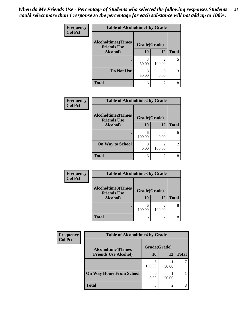| Frequency      | <b>Table of Alcoholtime1 by Grade</b>           |              |             |              |
|----------------|-------------------------------------------------|--------------|-------------|--------------|
| <b>Col Pct</b> | <b>Alcoholtime1(Times</b><br><b>Friends Use</b> | Grade(Grade) |             |              |
|                | Alcohol)                                        | <b>10</b>    | 12          | <b>Total</b> |
|                |                                                 | 3<br>50.00   | 2<br>100.00 | 5            |
|                | Do Not Use                                      | 3<br>50.00   | 0.00        | 3            |
|                | <b>Total</b>                                    | 6            | 2           | 8            |

| <b>Frequency</b> | <b>Table of Alcoholtime2 by Grade</b>           |             |                          |                             |
|------------------|-------------------------------------------------|-------------|--------------------------|-----------------------------|
| <b>Col Pct</b>   | <b>Alcoholtime2(Times</b><br><b>Friends Use</b> |             | Grade(Grade)             |                             |
|                  | Alcohol)                                        | 10          | 12                       | <b>Total</b>                |
|                  |                                                 | 6<br>100.00 | 0.00                     | 6                           |
|                  | <b>On Way to School</b>                         | 0.00        | $\mathfrak{D}$<br>100.00 | $\mathcal{D}_{\mathcal{L}}$ |
|                  | <b>Total</b>                                    | 6           | $\overline{c}$           |                             |

| Frequency      | <b>Table of Alcoholtime3 by Grade</b>           |              |                |              |
|----------------|-------------------------------------------------|--------------|----------------|--------------|
| <b>Col Pct</b> | <b>Alcoholtime3(Times</b><br><b>Friends Use</b> | Grade(Grade) |                |              |
|                | Alcohol)                                        | 10           | 12             | <b>Total</b> |
|                |                                                 | 6<br>100.00  | 100.00         | 8            |
|                | <b>Total</b>                                    | 6            | $\mathfrak{D}$ | 8            |

| Frequency      | <b>Table of Alcoholtime4 by Grade</b>                    |              |       |              |  |
|----------------|----------------------------------------------------------|--------------|-------|--------------|--|
| <b>Col Pct</b> | <b>Alcoholtime4(Times</b><br><b>Friends Use Alcohol)</b> | Grade(Grade) |       |              |  |
|                |                                                          | 10           | 12    | <b>Total</b> |  |
|                |                                                          | 6<br>100.00  | 50.00 |              |  |
|                | <b>On Way Home From School</b>                           | 0.00         | 50.00 |              |  |
|                | <b>Total</b>                                             | 6            | ◠     |              |  |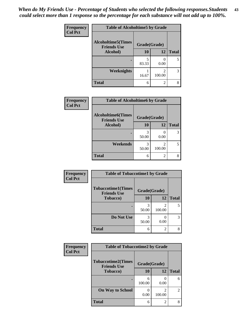*When do My Friends Use - Percentage of Students who selected the following responses.Students could select more than 1 response so the percentage for each substance will not add up to 100%.* **43**

| Frequency      | <b>Table of Alcoholtime5 by Grade</b>           |              |             |              |
|----------------|-------------------------------------------------|--------------|-------------|--------------|
| <b>Col Pct</b> | <b>Alcoholtime5(Times</b><br><b>Friends Use</b> | Grade(Grade) |             |              |
|                | Alcohol)                                        | 10           | 12          | <b>Total</b> |
|                |                                                 | 5<br>83.33   | 0.00        | 5            |
|                | Weeknights                                      | 16.67        | 2<br>100.00 | 3            |
|                | <b>Total</b>                                    | 6            | 2           |              |

| Frequency      | <b>Table of Alcoholtime6 by Grade</b>           |              |                          |              |
|----------------|-------------------------------------------------|--------------|--------------------------|--------------|
| <b>Col Pct</b> | <b>Alcoholtime6(Times</b><br><b>Friends Use</b> | Grade(Grade) |                          |              |
|                | Alcohol)                                        | 10           | 12                       | <b>Total</b> |
|                |                                                 | 50.00        | 0.00                     | 3            |
|                | Weekends                                        | 3<br>50.00   | $\mathfrak{D}$<br>100.00 |              |
|                | <b>Total</b>                                    | 6            | 2                        |              |

| Frequency<br><b>Col Pct</b> | <b>Table of Tobaccotime1 by Grade</b>           |              |                |              |
|-----------------------------|-------------------------------------------------|--------------|----------------|--------------|
|                             | <b>Tobaccotime1(Times</b><br><b>Friends Use</b> | Grade(Grade) |                |              |
|                             | <b>Tobacco</b> )                                | 10           | 12             | <b>Total</b> |
|                             |                                                 | 3<br>50.00   | 2<br>100.00    | 5            |
|                             | Do Not Use                                      | 3<br>50.00   | 0.00           | 3            |
|                             | <b>Total</b>                                    | 6            | $\overline{2}$ | 8            |

| <b>Frequency</b> | <b>Table of Tobaccotime2 by Grade</b>           |              |                             |                |
|------------------|-------------------------------------------------|--------------|-----------------------------|----------------|
| <b>Col Pct</b>   | <b>Tobaccotime2(Times</b><br><b>Friends Use</b> | Grade(Grade) |                             |                |
|                  | Tobacco)                                        | 10           | 12                          | <b>Total</b>   |
|                  | ٠                                               | 6<br>100.00  | 0.00                        | 6              |
|                  | <b>On Way to School</b>                         | 0.00         | $\mathfrak{D}$<br>100.00    | $\overline{2}$ |
|                  | <b>Total</b>                                    | 6            | $\mathcal{D}_{\mathcal{L}}$ | 8              |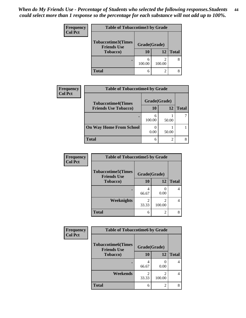| <b>Frequency</b><br><b>Col Pct</b> | <b>Table of Tobaccotime3 by Grade</b>           |              |        |              |
|------------------------------------|-------------------------------------------------|--------------|--------|--------------|
|                                    | <b>Tobaccotime3(Times</b><br><b>Friends Use</b> | Grade(Grade) |        |              |
|                                    | <b>Tobacco</b> )                                | 10           | 12     | <b>Total</b> |
|                                    |                                                 | 100.00       | 100.00 | 8            |
|                                    | <b>Total</b>                                    |              |        | 8            |

| <b>Frequency</b> | <b>Table of Tobaccotime4 by Grade</b> |              |       |              |
|------------------|---------------------------------------|--------------|-------|--------------|
| <b>Col Pct</b>   | <b>Tobaccotime4(Times</b>             | Grade(Grade) |       |              |
|                  | <b>Friends Use Tobacco)</b>           | 10           | 12    | <b>Total</b> |
|                  |                                       | 6<br>100.00  | 50.00 |              |
|                  | <b>On Way Home From School</b>        | 0.00         | 50.00 |              |
|                  | <b>Total</b>                          | 6            | ◠     |              |

| <b>Frequency</b> | <b>Table of Tobaccotime5 by Grade</b>           |              |             |              |
|------------------|-------------------------------------------------|--------------|-------------|--------------|
| <b>Col Pct</b>   | <b>Tobaccotime5(Times</b><br><b>Friends Use</b> | Grade(Grade) |             |              |
|                  | <b>Tobacco</b> )                                | 10           | 12          | <b>Total</b> |
|                  |                                                 | 66.67        | 0.00        | 4            |
|                  | Weeknights                                      | 33.33        | 2<br>100.00 |              |
|                  | <b>Total</b>                                    | 6            | 2           | 8            |

| Frequency      | <b>Table of Tobaccotime6 by Grade</b>           |              |                |              |
|----------------|-------------------------------------------------|--------------|----------------|--------------|
| <b>Col Pct</b> | <b>Tobaccotime6(Times</b><br><b>Friends Use</b> | Grade(Grade) |                |              |
|                | <b>Tobacco</b> )                                | 10           | 12             | <b>Total</b> |
|                | $\bullet$                                       | 66.67        | 0<br>0.00      | 4            |
|                | Weekends                                        | 33.33        | 2<br>100.00    | 4            |
|                | <b>Total</b>                                    | 6            | $\overline{2}$ | 8            |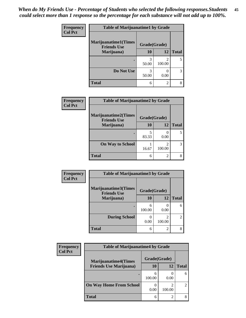| Frequency<br><b>Col Pct</b> | <b>Table of Marijuanatime1 by Grade</b>           |              |                          |              |
|-----------------------------|---------------------------------------------------|--------------|--------------------------|--------------|
|                             | <b>Marijuanatime1(Times</b><br><b>Friends Use</b> | Grade(Grade) |                          |              |
|                             | Marijuana)                                        | 10           | 12                       | <b>Total</b> |
|                             |                                                   | 3<br>50.00   | $\mathfrak{D}$<br>100.00 | 5            |
|                             | Do Not Use                                        | 3<br>50.00   | 0.00                     | 3            |
|                             | <b>Total</b>                                      | 6            | $\overline{2}$           |              |

| Frequency      | <b>Table of Marijuanatime2 by Grade</b>    |              |                |              |
|----------------|--------------------------------------------|--------------|----------------|--------------|
| <b>Col Pct</b> | Marijuanatime2(Times<br><b>Friends Use</b> | Grade(Grade) |                |              |
|                | Marijuana)                                 | 10           | 12             | <b>Total</b> |
|                |                                            | 5<br>83.33   | 0.00           | 5.           |
|                | <b>On Way to School</b>                    | 16.67        | 100.00         | 3            |
|                | <b>Total</b>                               | 6            | $\mathfrak{D}$ | 8            |

| Frequency<br><b>Col Pct</b> | <b>Table of Marijuanatime3 by Grade</b>    |              |                |               |  |
|-----------------------------|--------------------------------------------|--------------|----------------|---------------|--|
|                             | Marijuanatime3(Times<br><b>Friends Use</b> | Grade(Grade) |                |               |  |
|                             | Marijuana)                                 | 10           | 12             | <b>Total</b>  |  |
|                             |                                            | 6<br>100.00  | 0<br>0.00      | 6             |  |
|                             | <b>During School</b>                       | 0.00         | っ<br>100.00    | $\mathcal{D}$ |  |
|                             | <b>Total</b>                               | 6            | $\mathfrak{D}$ | 8             |  |

| <b>Frequency</b> | <b>Table of Marijuanatime4 by Grade</b> |              |        |                                                                                                                                                                 |
|------------------|-----------------------------------------|--------------|--------|-----------------------------------------------------------------------------------------------------------------------------------------------------------------|
| <b>Col Pct</b>   | <b>Marijuanatime4(Times</b>             | Grade(Grade) |        |                                                                                                                                                                 |
|                  | <b>Friends Use Marijuana</b> )          | 10           | 12     | <b>Total</b>                                                                                                                                                    |
|                  |                                         | 6<br>100.00  | 0.00   | 6                                                                                                                                                               |
|                  | <b>On Way Home From School</b>          | 0.00         | 100.00 | $\mathcal{D}_{\mathcal{A}}^{\mathcal{A}}(\mathcal{A})=\mathcal{D}_{\mathcal{A}}^{\mathcal{A}}(\mathcal{A})\mathcal{D}_{\mathcal{A}}^{\mathcal{A}}(\mathcal{A})$ |
|                  | <b>Total</b>                            | 6            | ◠      |                                                                                                                                                                 |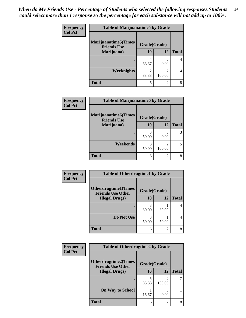| Frequency      | <b>Table of Marijuanatime5 by Grade</b>            |                                   |                                       |              |
|----------------|----------------------------------------------------|-----------------------------------|---------------------------------------|--------------|
| <b>Col Pct</b> | <b>Marijuanatime5</b> (Times<br><b>Friends Use</b> | Grade(Grade)                      |                                       |              |
|                | Marijuana)                                         | 10                                | 12                                    | <b>Total</b> |
|                |                                                    | 4<br>66.67                        | 0.00                                  |              |
|                | Weeknights                                         | $\overline{\mathcal{L}}$<br>33.33 | $\mathcal{D}_{\mathcal{L}}$<br>100.00 | 4            |
|                | <b>Total</b>                                       | 6                                 | $\overline{c}$                        | 8            |

| Frequency      | <b>Table of Marijuanatime6 by Grade</b>           |              |        |              |
|----------------|---------------------------------------------------|--------------|--------|--------------|
| <b>Col Pct</b> | <b>Marijuanatime6(Times</b><br><b>Friends Use</b> | Grade(Grade) |        |              |
|                | Marijuana)                                        | 10           | 12     | <b>Total</b> |
|                |                                                   | 3<br>50.00   | 0.00   | 3            |
|                | Weekends                                          | 3<br>50.00   | 100.00 | 5.           |
|                | <b>Total</b>                                      | 6            | 2      | 8            |

| Frequency      | <b>Table of Otherdrugtime1 by Grade</b>                 |              |                |              |
|----------------|---------------------------------------------------------|--------------|----------------|--------------|
| <b>Col Pct</b> | <b>Otherdrugtime1(Times</b><br><b>Friends Use Other</b> | Grade(Grade) |                |              |
|                | <b>Illegal Drugs</b> )                                  | 10           | 12             | <b>Total</b> |
|                |                                                         | 3<br>50.00   | 50.00          |              |
|                | Do Not Use                                              | 3<br>50.00   | 50.00          |              |
|                | <b>Total</b>                                            | 6            | $\mathfrak{D}$ |              |

| <b>Frequency</b><br><b>Col Pct</b> | <b>Table of Otherdrugtime2 by Grade</b>                 |              |                |              |
|------------------------------------|---------------------------------------------------------|--------------|----------------|--------------|
|                                    | <b>Otherdrugtime2(Times</b><br><b>Friends Use Other</b> | Grade(Grade) |                |              |
|                                    | <b>Illegal Drugs</b> )                                  | 10           | 12             | <b>Total</b> |
|                                    |                                                         | 5<br>83.33   | 2<br>100.00    |              |
|                                    | <b>On Way to School</b>                                 | 16.67        | 0.00           |              |
|                                    | Total                                                   | 6            | $\overline{c}$ | 8            |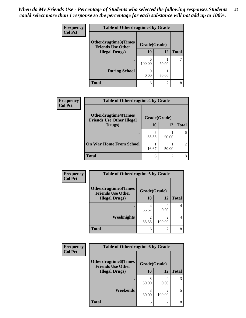| <b>Frequency</b> | <b>Table of Otherdrugtime3 by Grade</b>          |              |                |              |
|------------------|--------------------------------------------------|--------------|----------------|--------------|
| <b>Col Pct</b>   | Otherdrugtime3(Times<br><b>Friends Use Other</b> | Grade(Grade) |                |              |
|                  | <b>Illegal Drugs</b> )                           | 10           | 12             | <b>Total</b> |
|                  |                                                  | 6<br>100.00  | 50.00          |              |
|                  | <b>During School</b>                             | 0.00         | 50.00          |              |
|                  | Total                                            | 6            | $\overline{c}$ | 8            |

| Frequency      | <b>Table of Otherdrugtime4 by Grade</b>                         |              |       |              |
|----------------|-----------------------------------------------------------------|--------------|-------|--------------|
| <b>Col Pct</b> | <b>Otherdrugtime4(Times</b><br><b>Friends Use Other Illegal</b> | Grade(Grade) |       |              |
|                | Drugs)                                                          | 10           | 12    | <b>Total</b> |
|                | ٠                                                               | 83.33        | 50.00 | 6            |
|                | <b>On Way Home From School</b>                                  | 16.67        | 50.00 | 2            |
|                | <b>Total</b>                                                    | 6            | っ     |              |

| <b>Frequency</b> | <b>Table of Otherdrugtime5 by Grade</b>                  |              |                          |              |
|------------------|----------------------------------------------------------|--------------|--------------------------|--------------|
| <b>Col Pct</b>   | <b>Otherdrugtime5</b> (Times<br><b>Friends Use Other</b> | Grade(Grade) |                          |              |
|                  | <b>Illegal Drugs</b> )                                   | 10           | 12                       | <b>Total</b> |
|                  |                                                          | 66.67        | 0.00                     | 4            |
|                  | Weeknights                                               | 33.33        | $\mathfrak{D}$<br>100.00 | 4            |
|                  | Total                                                    | 6            | $\overline{c}$           | 8            |

| <b>Frequency</b><br><b>Col Pct</b> | <b>Table of Otherdrugtime6 by Grade</b>                 |              |                |              |
|------------------------------------|---------------------------------------------------------|--------------|----------------|--------------|
|                                    | <b>Otherdrugtime6(Times</b><br><b>Friends Use Other</b> | Grade(Grade) |                |              |
|                                    | <b>Illegal Drugs</b> )                                  | 10           | 12             | <b>Total</b> |
|                                    |                                                         | 50.00        | 0.00           | 3            |
|                                    | Weekends                                                | 3<br>50.00   | 2<br>100.00    | 5            |
|                                    | <b>Total</b>                                            | 6            | $\overline{2}$ | 8            |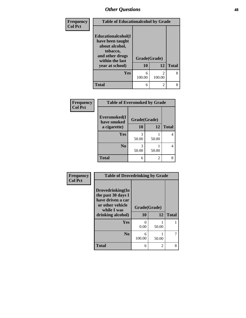| Frequency      | <b>Table of Educationalcohol by Grade</b>                                                                  |              |                                       |              |
|----------------|------------------------------------------------------------------------------------------------------------|--------------|---------------------------------------|--------------|
| <b>Col Pct</b> | Educationalcohol(I<br>have been taught<br>about alcohol,<br>tobacco,<br>and other drugs<br>within the last | Grade(Grade) |                                       |              |
|                | year at school)                                                                                            | 10           | 12                                    | <b>Total</b> |
|                | Yes                                                                                                        | 6<br>100.00  | $\mathcal{D}_{\mathcal{A}}$<br>100.00 | 8            |
|                | <b>Total</b>                                                                                               | 6            | 2                                     | 8            |

| Frequency      | <b>Table of Eversmoked by Grade</b> |              |                |              |
|----------------|-------------------------------------|--------------|----------------|--------------|
| <b>Col Pct</b> | Eversmoked(I<br>have smoked         | Grade(Grade) |                |              |
|                | a cigarette)                        | <b>10</b>    | 12             | <b>Total</b> |
|                | <b>Yes</b>                          | 3<br>50.00   | 50.00          |              |
|                | N <sub>0</sub>                      | 3<br>50.00   | 50.00          |              |
|                | <b>Total</b>                        | 6            | $\mathfrak{D}$ |              |

| Frequency      | <b>Table of Drovedrinking by Grade</b>                                                                              |                    |       |              |
|----------------|---------------------------------------------------------------------------------------------------------------------|--------------------|-------|--------------|
| <b>Col Pct</b> | Drovedrinking(In<br>the past 30 days I<br>have driven a car<br>or other vehicle<br>while I was<br>drinking alcohol) | Grade(Grade)<br>10 | 12    | <b>Total</b> |
|                | Yes                                                                                                                 | 0<br>0.00          | 50.00 |              |
|                | N <sub>0</sub>                                                                                                      | 6<br>100.00        | 50.00 | 7            |
|                | <b>Total</b>                                                                                                        | 6                  | 2     | 8            |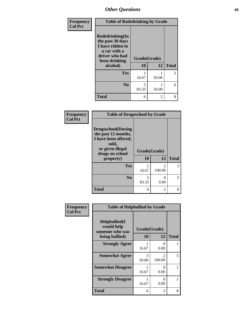| Frequency      | <b>Table of Rodedrinking by Grade</b>                                                                      |              |       |              |
|----------------|------------------------------------------------------------------------------------------------------------|--------------|-------|--------------|
| <b>Col Pct</b> | Rodedrinking(In<br>the past 30 days<br>I have ridden in<br>a car with a<br>driver who had<br>been drinking | Grade(Grade) |       |              |
|                | alcohol)                                                                                                   | 10           | 12    | <b>Total</b> |
|                | <b>Yes</b>                                                                                                 | 16.67        | 50.00 | 2            |
|                | N <sub>0</sub>                                                                                             | 5<br>83.33   | 50.00 | 6            |
|                | <b>Total</b>                                                                                               | 6            | 2     | 8            |

### **Frequency Col Pct**

| <b>Table of Drugsschool by Grade</b>                                                                                      |              |             |              |  |  |  |
|---------------------------------------------------------------------------------------------------------------------------|--------------|-------------|--------------|--|--|--|
| <b>Drugsschool</b> (During<br>the past 12 months,<br>I have been offered,<br>sold,<br>or given illegal<br>drugs on school | Grade(Grade) |             |              |  |  |  |
| property)                                                                                                                 | 10           | 12          | <b>Total</b> |  |  |  |
| Yes                                                                                                                       | 16.67        | 2<br>100.00 | 3            |  |  |  |
| N <sub>0</sub>                                                                                                            | 5<br>83.33   | 0<br>0.00   | 5            |  |  |  |
| <b>Total</b>                                                                                                              | 6            | 2           |              |  |  |  |

| Frequency      | <b>Table of Helpbullied by Grade</b>                                   |                    |                                 |   |  |  |  |
|----------------|------------------------------------------------------------------------|--------------------|---------------------------------|---|--|--|--|
| <b>Col Pct</b> | $Helpb$ ullied $(I$<br>would help<br>someone who was<br>being bullied) | Grade(Grade)<br>10 | <b>Total</b>                    |   |  |  |  |
|                | <b>Strongly Agree</b>                                                  | 16.67              | 12<br>$\mathbf{\Omega}$<br>0.00 |   |  |  |  |
|                | <b>Somewhat Agree</b>                                                  | 3<br>50.00         | $\mathfrak{D}$<br>100.00        | 5 |  |  |  |
|                | <b>Somewhat Disagree</b>                                               | 16.67              | 0<br>0.00                       |   |  |  |  |
|                | <b>Strongly Disagree</b>                                               | 16.67              | 0<br>0.00                       |   |  |  |  |
|                | <b>Total</b>                                                           | 6                  | 2                               | 8 |  |  |  |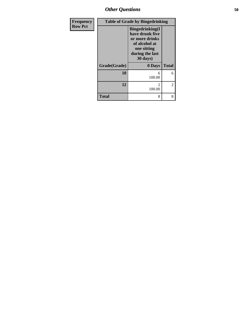*Other Questions* **50**

| <b>Frequency</b> |              | <b>Table of Grade by Bingedrinking</b>                                                                                      |              |
|------------------|--------------|-----------------------------------------------------------------------------------------------------------------------------|--------------|
| <b>Row Pct</b>   |              | <b>Bingedrinking</b> (I<br>have drunk five<br>or more drinks<br>of alcohol at<br>one sitting<br>during the last<br>30 days) |              |
|                  | Grade(Grade) | 0 Days                                                                                                                      | <b>Total</b> |
|                  | 10           | 6<br>100.00                                                                                                                 | 6            |
|                  | 12           | $\mathfrak{D}$<br>100.00                                                                                                    | 2            |
|                  | <b>Total</b> | 8                                                                                                                           | 8            |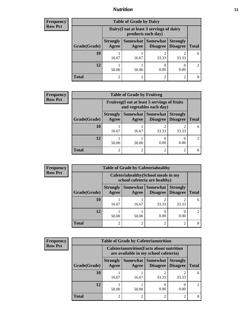## *Nutrition* **51**

| <b>Total</b>   |
|----------------|
| 6              |
| $\mathfrak{D}$ |
|                |

| <b>Frequency</b> | <b>Table of Grade by Fruitveg</b> |                          |                                                                          |                                        |                                    |                             |  |
|------------------|-----------------------------------|--------------------------|--------------------------------------------------------------------------|----------------------------------------|------------------------------------|-----------------------------|--|
| <b>Row Pct</b>   |                                   |                          | Fruitveg(I eat at least 5 servings of fruits<br>and vegetables each day) |                                        |                                    |                             |  |
|                  | Grade(Grade)                      | <b>Strongly</b><br>Agree | Agree                                                                    | Somewhat   Somewhat<br><b>Disagree</b> | <b>Strongly</b><br><b>Disagree</b> | <b>Total</b>                |  |
|                  | 10                                | 16.67                    | 16.67                                                                    | 33.33                                  | 33.33                              | 6                           |  |
|                  | 12                                | 50.00                    | 50.00                                                                    | 0.00                                   | 0.00                               | $\mathcal{D}_{\mathcal{L}}$ |  |
|                  | <b>Total</b>                      | $\overline{c}$           | 2                                                                        | っ                                      | 2                                  | 8                           |  |

**Total** 2 2 2 2 8

| <b>Frequency</b> |              | <b>Table of Grade by Cafeteriahealthy</b> |                                                                       |                                      |                                    |               |
|------------------|--------------|-------------------------------------------|-----------------------------------------------------------------------|--------------------------------------|------------------------------------|---------------|
| <b>Row Pct</b>   |              |                                           | Cafeteriahealthy (School meals in my<br>school cafeteria are healthy) |                                      |                                    |               |
|                  | Grade(Grade) | <b>Strongly</b><br>Agree                  | Agree                                                                 | Somewhat Somewhat<br><b>Disagree</b> | <b>Strongly</b><br><b>Disagree</b> | <b>Total</b>  |
|                  | 10           | 16.67                                     | 16.67                                                                 | 33.33                                | 33.33                              | 6             |
|                  | 12           | 50.00                                     | 50.00                                                                 | 0.00                                 | 0.00                               | $\mathcal{D}$ |
|                  | <b>Total</b> | $\mathcal{L}$                             | $\overline{2}$                                                        | ↑                                    | $\mathfrak{D}$                     | 8             |

| Frequency      | <b>Table of Grade by Cafeterianutrition</b> |                          |                                                                                           |                                        |                                    |                |
|----------------|---------------------------------------------|--------------------------|-------------------------------------------------------------------------------------------|----------------------------------------|------------------------------------|----------------|
| <b>Row Pct</b> |                                             |                          | <b>Cafeterianutrition</b> (Facts about nutrition<br>are available in my school cafeteria) |                                        |                                    |                |
|                | Grade(Grade)                                | <b>Strongly</b><br>Agree | Agree                                                                                     | Somewhat   Somewhat<br><b>Disagree</b> | <b>Strongly</b><br><b>Disagree</b> | <b>Total</b>   |
|                | 10                                          | 16.67                    | 16.67                                                                                     | 33.33                                  | 33.33                              | 6              |
|                | 12                                          | 50.00                    | 50.00                                                                                     | 0.00                                   | 0.00                               | $\mathfrak{D}$ |
|                | <b>Total</b>                                | ി                        | $\overline{2}$                                                                            | ↑                                      | $\overline{c}$                     | 8              |

6

2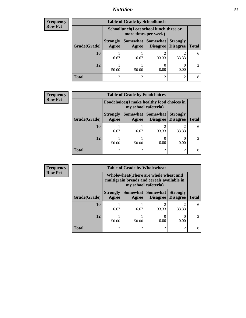# *Nutrition* **52**

| Frequency      |
|----------------|
| <b>Row Pct</b> |

| <b>Table of Grade by Schoollunch</b> |              |                          |                                                                 |                             |                                    |                |  |  |
|--------------------------------------|--------------|--------------------------|-----------------------------------------------------------------|-----------------------------|------------------------------------|----------------|--|--|
|                                      |              |                          | Schoollunch(I eat school lunch three or<br>more times per week) |                             |                                    |                |  |  |
|                                      | Grade(Grade) | <b>Strongly</b><br>Agree | Somewhat  <br>Agree                                             | <b>Somewhat</b><br>Disagree | <b>Strongly</b><br><b>Disagree</b> | <b>Total</b>   |  |  |
|                                      | <b>10</b>    | 16.67                    | 16.67                                                           | 33.33                       | 33.33                              | 6              |  |  |
|                                      | 12           | 50.00                    | 50.00                                                           | 0.00                        | 0.00                               | $\mathfrak{D}$ |  |  |
|                                      | <b>Total</b> | 2                        |                                                                 | $\mathcal{D}$               | റ                                  |                |  |  |

| <b>Frequency</b> | <b>Table of Grade by Foodchoices</b> |                          |                                                                     |                                      |                                    |              |
|------------------|--------------------------------------|--------------------------|---------------------------------------------------------------------|--------------------------------------|------------------------------------|--------------|
| <b>Row Pct</b>   |                                      |                          | Foodchoices (I make healthy food choices in<br>my school cafeteria) |                                      |                                    |              |
|                  | Grade(Grade)                         | <b>Strongly</b><br>Agree | Agree                                                               | Somewhat Somewhat<br><b>Disagree</b> | <b>Strongly</b><br><b>Disagree</b> | <b>Total</b> |
|                  | 10                                   | 16.67                    | 16.67                                                               | 33.33                                | 33.33                              | 6            |
|                  | 12                                   | 50.00                    | 50.00                                                               | 0.00                                 | 0.00                               |              |
|                  | <b>Total</b>                         | っ                        | 2                                                                   | ∍                                    |                                    |              |

| Frequency      | <b>Table of Grade by Wholewheat</b> |                                                                                                             |                |                                          |                                    |               |
|----------------|-------------------------------------|-------------------------------------------------------------------------------------------------------------|----------------|------------------------------------------|------------------------------------|---------------|
| <b>Row Pct</b> |                                     | Wholewheat (There are whole wheat and<br>multigrain breads and cereals available in<br>my school cafeteria) |                |                                          |                                    |               |
|                | Grade(Grade)                        | <b>Strongly</b><br>Agree                                                                                    | Agree          | Somewhat   Somewhat  <br><b>Disagree</b> | <b>Strongly</b><br><b>Disagree</b> | <b>Total</b>  |
|                | 10                                  | 16.67                                                                                                       | 16.67          | ◠<br>33.33                               | 33.33                              | 6             |
|                | 12                                  | 50.00                                                                                                       | 50.00          | 0.00                                     | 0.00                               | $\mathcal{D}$ |
|                | <b>Total</b>                        | $\overline{2}$                                                                                              | $\overline{2}$ | ↑                                        | $\mathfrak{D}$                     | 8             |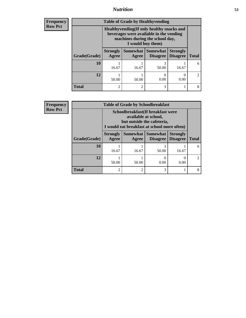## *Nutrition* **53**

**Frequency Row Pct**

| <b>Table of Grade by Healthyvending</b> |                          |                                                                                                                                                                 |                                        |                                    |                             |  |  |
|-----------------------------------------|--------------------------|-----------------------------------------------------------------------------------------------------------------------------------------------------------------|----------------------------------------|------------------------------------|-----------------------------|--|--|
|                                         |                          | Healthyvending (If only healthy snacks and<br>beverages were available in the vending<br>machines during the school day,<br>I would buy them)                   |                                        |                                    |                             |  |  |
| Grade(Grade)                            | <b>Strongly</b><br>Agree | Agree                                                                                                                                                           | <b>Somewhat   Somewhat</b><br>Disagree | <b>Strongly</b><br><b>Disagree</b> | <b>Total</b>                |  |  |
| 10                                      | 16.67                    | 16.67                                                                                                                                                           | 3<br>50.00                             | 16.67                              | 6                           |  |  |
| 12                                      | 50.00                    | 50.00                                                                                                                                                           | 0.00                                   | 0.00                               | $\mathcal{D}_{\mathcal{L}}$ |  |  |
| <b>Total</b>                            | 2                        | $\mathcal{D}_{\mathcal{A}}^{\mathcal{A}}(\mathcal{A})=\mathcal{D}_{\mathcal{A}}^{\mathcal{A}}(\mathcal{A})\mathcal{D}_{\mathcal{A}}^{\mathcal{A}}(\mathcal{A})$ | 3                                      |                                    |                             |  |  |

**Frequency Row Pct**

| <b>Table of Grade by Schoolbreakfast</b> |                          |                                                                                                                                         |                                 |                                    |              |  |
|------------------------------------------|--------------------------|-----------------------------------------------------------------------------------------------------------------------------------------|---------------------------------|------------------------------------|--------------|--|
|                                          |                          | Schoolbreakfast (If breakfast were<br>available at school,<br>but outside the cafeteria,<br>I would eat breakfast at school more often) |                                 |                                    |              |  |
| Grade(Grade)                             | <b>Strongly</b><br>Agree | Agree                                                                                                                                   | Somewhat   Somewhat<br>Disagree | <b>Strongly</b><br><b>Disagree</b> | <b>Total</b> |  |
| 10                                       | 16.67                    | 16.67                                                                                                                                   | 50.00                           | 16.67                              |              |  |
| 12                                       | 50.00                    | 50.00                                                                                                                                   | 0.00                            | 0.00                               |              |  |
| <b>Total</b>                             | $\mathfrak{D}$           | റ                                                                                                                                       | 3                               |                                    |              |  |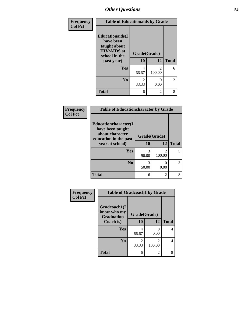| Frequency<br><b>Col Pct</b> | <b>Table of Educationaids by Grade</b>                                                                    |                         |                          |              |
|-----------------------------|-----------------------------------------------------------------------------------------------------------|-------------------------|--------------------------|--------------|
|                             | <b>Educationaids</b> (I<br>have been<br>taught about<br><b>HIV/AIDS</b> at<br>school in the<br>past year) | Grade(Grade)<br>10      | 12                       | <b>Total</b> |
|                             | Yes                                                                                                       | 4<br>66.67              | $\mathfrak{D}$<br>100.00 | 6            |
|                             | N <sub>0</sub>                                                                                            | $\mathfrak{D}$<br>33.33 | 0<br>0.00                | 2            |
|                             | <b>Total</b>                                                                                              | 6                       | 2                        | 8            |

| Frequency      | <b>Table of Educationcharacter by Grade</b>                                          |              |                          |              |  |
|----------------|--------------------------------------------------------------------------------------|--------------|--------------------------|--------------|--|
| <b>Col Pct</b> | Educationcharacter(I<br>have been taught<br>about character<br>education in the past | Grade(Grade) |                          |              |  |
|                | year at school)                                                                      | 10           | 12                       | <b>Total</b> |  |
|                | <b>Yes</b>                                                                           | 3<br>50.00   | $\mathfrak{D}$<br>100.00 |              |  |
|                | N <sub>0</sub>                                                                       | 3<br>50.00   | 0<br>0.00                |              |  |
|                | <b>Total</b>                                                                         | 6            | $\overline{2}$           |              |  |

| Frequency      | <b>Table of Gradcoach1 by Grade</b>              |              |             |              |
|----------------|--------------------------------------------------|--------------|-------------|--------------|
| <b>Col Pct</b> | Gradcoach1(I<br>know who my<br><b>Graduation</b> | Grade(Grade) |             |              |
|                | Coach is)                                        | 10           | 12          | <b>Total</b> |
|                | Yes                                              | 4<br>66.67   | 0<br>0.00   | 4            |
|                | N <sub>0</sub>                                   | 2<br>33.33   | 2<br>100.00 | 4            |
|                | <b>Total</b>                                     | 6            | 2           | 8            |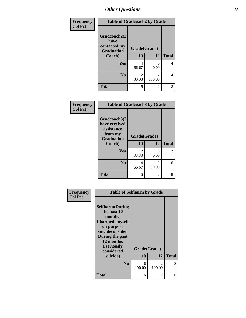| Frequency      | <b>Table of Gradcoach2 by Grade</b> |              |                          |              |
|----------------|-------------------------------------|--------------|--------------------------|--------------|
| <b>Col Pct</b> |                                     |              |                          |              |
|                | Gradcoach2(I<br>have                |              |                          |              |
|                | contacted my<br><b>Graduation</b>   | Grade(Grade) |                          |              |
|                | Coach)                              | 10           | 12                       | <b>Total</b> |
|                | Yes                                 | 4<br>66.67   | 0<br>0.00                | 4            |
|                | N <sub>0</sub>                      | 2<br>33.33   | $\mathfrak{D}$<br>100.00 | 4            |
|                | <b>Total</b>                        | 6            | 2                        | 8            |

| Frequency<br><b>Col Pct</b> | <b>Table of Gradcoach3 by Grade</b>                                                   |                    |             |                |
|-----------------------------|---------------------------------------------------------------------------------------|--------------------|-------------|----------------|
|                             | Gradcoach3(I<br>have received<br>assistance<br>from my<br><b>Graduation</b><br>Coach) | Grade(Grade)<br>10 | 12          | <b>Total</b>   |
|                             | Yes                                                                                   | 2<br>33.33         | 0<br>0.00   | $\overline{2}$ |
|                             | N <sub>0</sub>                                                                        | 4<br>66.67         | 2<br>100.00 | 6              |
|                             | <b>Total</b>                                                                          | 6                  | 2           | 8              |

| Frequency<br><b>Col Pct</b> | <b>Table of Selfharm by Grade</b>                                                                                                                                          |              |                         |              |
|-----------------------------|----------------------------------------------------------------------------------------------------------------------------------------------------------------------------|--------------|-------------------------|--------------|
|                             | <b>Selfharm</b> (During<br>the past 12<br>months,<br>I harmed myself<br>on purpose<br><b>Suicideconsider</b><br>During the past<br>12 months,<br>I seriously<br>considered | Grade(Grade) |                         |              |
|                             | suicide)                                                                                                                                                                   | 10           | 12                      | <b>Total</b> |
|                             | No                                                                                                                                                                         | 6<br>100.00  | $\mathcal{L}$<br>100.00 | 8            |
|                             | <b>Total</b>                                                                                                                                                               | 6            | 2                       | 8            |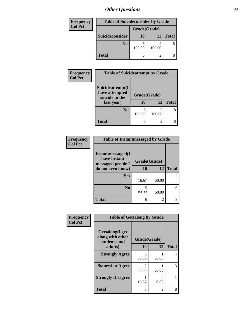| Frequency      | <b>Table of Suicideconsider by Grade</b> |              |        |              |
|----------------|------------------------------------------|--------------|--------|--------------|
| <b>Col Pct</b> |                                          | Grade(Grade) |        |              |
|                | Suicideconsider                          | <b>10</b>    | 12     | <b>Total</b> |
|                | N <sub>0</sub>                           | 100.00       | 100.00 |              |
|                | <b>Total</b>                             | 6            |        |              |

| Frequency<br><b>Col Pct</b> | <b>Table of Suicideattempt by Grade</b>              |              |        |              |
|-----------------------------|------------------------------------------------------|--------------|--------|--------------|
|                             | Suicideattempt(I<br>have attempted<br>suicide in the | Grade(Grade) |        |              |
|                             | last year)                                           | <b>10</b>    | 12     | <b>Total</b> |
|                             | N <sub>0</sub>                                       | 6<br>100.00  | 100.00 | 8            |
|                             | <b>Total</b>                                         | 6            |        | 8            |

| Frequency      | <b>Table of Instantmessaged by Grade</b>               |              |       |                |
|----------------|--------------------------------------------------------|--------------|-------|----------------|
| <b>Col Pct</b> | Instantmessaged(I<br>have instant<br>messaged people I | Grade(Grade) |       |                |
|                | do not even know)                                      | 10           | 12    | <b>Total</b>   |
|                | <b>Yes</b>                                             | 16.67        | 50.00 | $\overline{2}$ |
|                | N <sub>0</sub>                                         | 5<br>83.33   | 50.00 | 6              |
|                | <b>Total</b>                                           | 6            | 2     | 8              |

| Frequency<br><b>Col Pct</b> | <b>Table of Getsalong by Grade</b>                  |                                      |                |              |
|-----------------------------|-----------------------------------------------------|--------------------------------------|----------------|--------------|
|                             | Getsalong(I get<br>along with other<br>students and | Grade(Grade)                         |                |              |
|                             | adults)                                             | 10                                   | 12             | <b>Total</b> |
|                             | <b>Strongly Agree</b>                               | 3<br>50.00                           | 50.00          | 4            |
|                             | <b>Somewhat Agree</b>                               | $\mathcal{D}_{\mathcal{L}}$<br>33.33 | 50.00          | 3            |
|                             | <b>Strongly Disagree</b>                            | 16.67                                | 0.00           |              |
|                             | Total                                               | 6                                    | $\mathfrak{D}$ | 8            |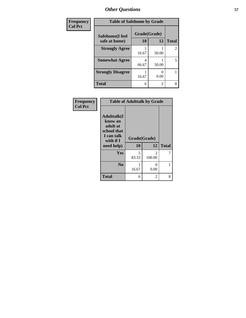| Frequency      | <b>Table of Safehome by Grade</b> |              |                |                |
|----------------|-----------------------------------|--------------|----------------|----------------|
| <b>Col Pct</b> | Safehome(I feel                   | Grade(Grade) |                |                |
|                | safe at home)                     | 10           | 12             | <b>Total</b>   |
|                | <b>Strongly Agree</b>             | 16.67        | 50.00          | $\overline{2}$ |
|                | <b>Somewhat Agree</b>             | 4<br>66.67   | 50.00          | 5              |
|                | <b>Strongly Disagree</b>          | 16.67        | 0.00           |                |
|                | <b>Total</b>                      | 6            | $\overline{2}$ | 8              |

| Frequency      | <b>Table of Adulttalk by Grade</b>                                                                |                    |                          |              |
|----------------|---------------------------------------------------------------------------------------------------|--------------------|--------------------------|--------------|
| <b>Col Pct</b> | <b>Adulttalk(I</b><br>know an<br>adult at<br>school that<br>I can talk<br>with if I<br>need help) | Grade(Grade)<br>10 | 12                       | <b>Total</b> |
|                | Yes                                                                                               | 5<br>83.33         | $\mathfrak{D}$<br>100.00 | 7            |
|                | N <sub>0</sub>                                                                                    | 16.67              | 0<br>0.00                |              |
|                | <b>Total</b>                                                                                      | 6                  | 2                        | 8            |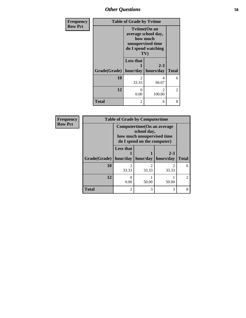| Frequency      | <b>Table of Grade by Tytime</b> |                                                                                                           |                                       |                |
|----------------|---------------------------------|-----------------------------------------------------------------------------------------------------------|---------------------------------------|----------------|
| <b>Row Pct</b> |                                 | <b>Tytime(On an</b><br>average school day,<br>how much<br>unsupervised time<br>do I spend watching<br>TV) |                                       |                |
|                | Grade(Grade)                    | <b>Less that</b><br>hour/day                                                                              | $2 - 3$<br>hours/day                  | <b>Total</b>   |
|                | 10                              | 2<br>33.33                                                                                                | 4<br>66.67                            | 6              |
|                | 12                              | $\Omega$<br>0.00                                                                                          | $\mathcal{D}_{\mathcal{L}}$<br>100.00 | $\overline{2}$ |
|                | <b>Total</b>                    | 2                                                                                                         | 6                                     | 8              |

| Frequency      | <b>Table of Grade by Computertime</b> |                                                                                                         |       |                                 |                |
|----------------|---------------------------------------|---------------------------------------------------------------------------------------------------------|-------|---------------------------------|----------------|
| <b>Row Pct</b> |                                       | Computertime (On an average<br>school day,<br>how much unsupervised time<br>do I spend on the computer) |       |                                 |                |
|                | $Grade(Grade)$   hour/day             | <b>Less that</b>                                                                                        |       | $2 - 3$<br>hour/day   hours/day | <b>Total</b>   |
|                | 10                                    | ာ<br>33.33                                                                                              | 33.33 | 33.33                           | 6              |
|                | 12                                    | 0.00                                                                                                    | 50.00 | 50.00                           | $\mathfrak{D}$ |
|                | <b>Total</b>                          | っ                                                                                                       | 3     | 3                               | 8              |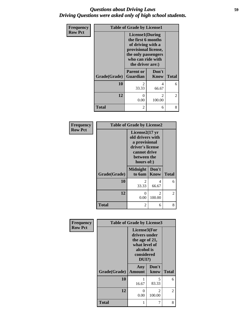### *Questions about Driving Laws* **59** *Driving Questions were asked only of high school students.*

| Frequency      |              | <b>Table of Grade by License1</b>                                                                                                                  |                          |                |
|----------------|--------------|----------------------------------------------------------------------------------------------------------------------------------------------------|--------------------------|----------------|
| <b>Row Pct</b> |              | License1(During<br>the first 6 months<br>of driving with a<br>provisional license,<br>the only passengers<br>who can ride with<br>the driver are:) |                          |                |
|                | Grade(Grade) | <b>Parent or</b><br><b>Guardian</b>                                                                                                                | Don't<br>Know            | <b>Total</b>   |
|                | 10           | $\mathfrak{D}$<br>33.33                                                                                                                            | 4<br>66.67               | 6              |
|                | 12           | 0<br>0.00                                                                                                                                          | $\mathfrak{D}$<br>100.00 | $\overline{c}$ |
|                | <b>Total</b> | $\overline{c}$                                                                                                                                     | 6                        | 8              |

| Frequency      | <b>Table of Grade by License2</b> |                                                                                                                                  |                          |                |
|----------------|-----------------------------------|----------------------------------------------------------------------------------------------------------------------------------|--------------------------|----------------|
| <b>Row Pct</b> |                                   | License $2(17 \text{ yr})$<br>old drivers with<br>a provisional<br>driver's license<br>cannot drive<br>between the<br>hours of:) |                          |                |
|                | Grade(Grade)                      | <b>Midnight</b><br>to 6am                                                                                                        | Don't<br><b>Know</b>     | <b>Total</b>   |
|                | 10                                | 2<br>33.33                                                                                                                       | 4<br>66.67               | 6              |
|                | 12                                | $\theta$<br>0.00                                                                                                                 | $\mathfrak{D}$<br>100.00 | $\overline{2}$ |
|                | <b>Total</b>                      | 2                                                                                                                                | 6                        | 8              |

| <b>Frequency</b> | <b>Table of Grade by License3</b> |                                                                                                          |                          |              |
|------------------|-----------------------------------|----------------------------------------------------------------------------------------------------------|--------------------------|--------------|
| <b>Row Pct</b>   |                                   | License3(For<br>drivers under<br>the age of 21,<br>what level of<br>alcohol is<br>considered<br>$DUI$ ?) |                          |              |
|                  | Grade(Grade)                      | Any<br><b>Amount</b>                                                                                     | Don't<br>know            | <b>Total</b> |
|                  | 10                                | 16.67                                                                                                    | 5<br>83.33               | 6            |
|                  | 12                                | 0<br>0.00                                                                                                | $\mathfrak{D}$<br>100.00 | 2            |
|                  | <b>Total</b>                      |                                                                                                          | 7                        | 8            |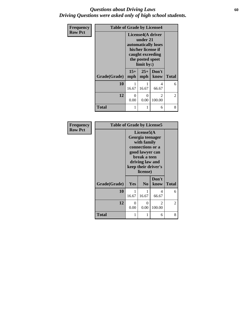### *Questions about Driving Laws* **60** *Driving Questions were asked only of high school students.*

| Frequency      | <b>Table of Grade by License4</b> |                                                                                                                                 |                       |                          |                |
|----------------|-----------------------------------|---------------------------------------------------------------------------------------------------------------------------------|-----------------------|--------------------------|----------------|
| <b>Row Pct</b> |                                   | License4(A driver<br>under 21<br>automatically loses<br>his/her license if<br>caught exceeding<br>the posted speet<br>limit by: |                       |                          |                |
|                | Grade(Grade)                      | $15+$<br>mph                                                                                                                    | $25+$<br>mph          | Don't<br>know            | <b>Total</b>   |
|                | 10                                | 16.67                                                                                                                           | 16.67                 | 4<br>66.67               | 6              |
|                | 12                                | 0<br>0.00                                                                                                                       | $\mathcal{O}$<br>0.00 | $\mathfrak{D}$<br>100.00 | $\overline{2}$ |
|                | <b>Total</b>                      |                                                                                                                                 |                       | 6                        | 8              |

| Frequency      | <b>Table of Grade by License5</b> |                                                                                                                                                            |                      |                          |                |
|----------------|-----------------------------------|------------------------------------------------------------------------------------------------------------------------------------------------------------|----------------------|--------------------------|----------------|
| <b>Row Pct</b> |                                   | License5(A<br>Georgia teenager<br>with family<br>connections or a<br>good lawyer can<br>break a teen<br>driving law and<br>keep their driver's<br>license) |                      |                          |                |
|                | Grade(Grade)                      | Yes                                                                                                                                                        | N <sub>0</sub>       | Don't<br>know            | <b>Total</b>   |
|                | 10                                | 16.67                                                                                                                                                      | 16.67                | 4<br>66.67               | 6              |
|                | 12                                | 0<br>0.00                                                                                                                                                  | $\mathbf{0}$<br>0.00 | $\mathfrak{D}$<br>100.00 | $\overline{2}$ |
|                | Total                             |                                                                                                                                                            |                      | 6                        | 8              |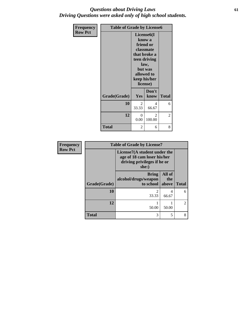## *Questions about Driving Laws* **61** *Driving Questions were asked only of high school students.*

| <b>Frequency</b> |              | <b>Table of Grade by License6</b>                                                                                                                        |               |              |  |
|------------------|--------------|----------------------------------------------------------------------------------------------------------------------------------------------------------|---------------|--------------|--|
| <b>Row Pct</b>   |              | License <sub>6</sub> (I<br>know a<br>friend or<br>classmate<br>that broke a<br>teen driving<br>law,<br>but was<br>allowed to<br>keep his/her<br>license) |               |              |  |
|                  | Grade(Grade) | Yes                                                                                                                                                      | Don't<br>know | <b>Total</b> |  |
|                  | 10           | $\mathfrak{D}$<br>33.33                                                                                                                                  | 4<br>66.67    | 6            |  |
|                  | 12           | 0<br>0.00                                                                                                                                                | 2<br>100.00   | 2            |  |
|                  | <b>Total</b> | 2                                                                                                                                                        | 6             | 8            |  |

| Frequency      | <b>Table of Grade by License7</b> |                                                                                                     |                          |                |  |
|----------------|-----------------------------------|-----------------------------------------------------------------------------------------------------|--------------------------|----------------|--|
| <b>Row Pct</b> |                                   | License7(A student under the<br>age of 18 cam loser his/her<br>driving privileges if he or<br>she:) |                          |                |  |
|                | Grade(Grade)                      | <b>Bring</b><br>alcohol/drugs/weapon<br>to school                                                   | All of<br>the<br>above   | <b>Total</b>   |  |
|                | 10                                | $\mathfrak{D}$<br>33.33                                                                             | 4<br>66.67               | 6              |  |
|                | 12                                | 50.00                                                                                               | 50.00                    | $\overline{2}$ |  |
|                | <b>Total</b>                      | 3                                                                                                   | $\overline{\phantom{0}}$ | 8              |  |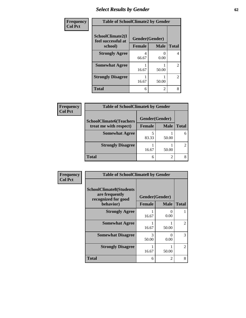## *Select Results by Gender* **62**

| Frequency      | <b>Table of SchoolClimate2 by Gender</b> |               |                           |                |
|----------------|------------------------------------------|---------------|---------------------------|----------------|
| <b>Col Pct</b> | SchoolClimate2(I<br>feel successful at   |               | Gender(Gender)            |                |
|                | school)                                  | <b>Female</b> | <b>Male</b>               | <b>Total</b>   |
|                | <b>Strongly Agree</b>                    | 66.67         | $\mathbf{\Omega}$<br>0.00 | 4              |
|                | <b>Somewhat Agree</b>                    | 16.67         | 50.00                     | $\overline{2}$ |
|                | <b>Strongly Disagree</b>                 | 16.67         | 50.00                     | $\overline{2}$ |
|                | <b>Total</b>                             | 6             | $\mathfrak{D}$            | 8              |

| <b>Frequency</b> | <b>Table of SchoolClimate6 by Gender</b>                 |                |             |              |
|------------------|----------------------------------------------------------|----------------|-------------|--------------|
| <b>Col Pct</b>   | <b>SchoolClimate6(Teachers</b><br>treat me with respect) | Gender(Gender) |             |              |
|                  |                                                          | <b>Female</b>  | <b>Male</b> | <b>Total</b> |
|                  | <b>Somewhat Agree</b>                                    | 83.33          | 50.00       |              |
|                  | <b>Strongly Disagree</b>                                 | 16.67          | 50.00       |              |
|                  | <b>Total</b>                                             | 6              | ∍           |              |

| Frequency      | <b>Table of SchoolClimate8 by Gender</b>                                             |                                 |             |                |
|----------------|--------------------------------------------------------------------------------------|---------------------------------|-------------|----------------|
| <b>Col Pct</b> | <b>SchoolClimate8(Students</b><br>are frequently<br>recognized for good<br>behavior) | Gender(Gender)<br><b>Female</b> | <b>Male</b> | <b>Total</b>   |
|                | <b>Strongly Agree</b>                                                                | 16.67                           | 0.00        |                |
|                | <b>Somewhat Agree</b>                                                                | 16.67                           | 50.00       | $\mathfrak{D}$ |
|                | <b>Somewhat Disagree</b>                                                             | 3<br>50.00                      | 0<br>0.00   | 3              |
|                | <b>Strongly Disagree</b>                                                             | 16.67                           | 50.00       | $\mathfrak{D}$ |
|                | <b>Total</b>                                                                         | 6                               | 2           | 8              |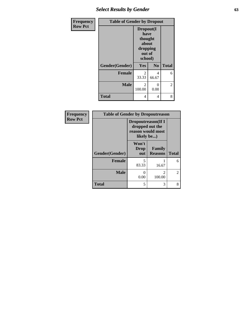# *Select Results by Gender* **63**

| Frequency      | <b>Table of Gender by Dropout</b> |                                                                        |                  |              |
|----------------|-----------------------------------|------------------------------------------------------------------------|------------------|--------------|
| <b>Row Pct</b> |                                   | Dropout(I<br>have<br>thought<br>about<br>dropping<br>out of<br>school) |                  |              |
|                | Gender(Gender)                    | Yes                                                                    | N <sub>0</sub>   | <b>Total</b> |
|                | <b>Female</b>                     | 2<br>33.33                                                             | 4<br>66.67       | 6            |
|                | <b>Male</b>                       | $\mathcal{L}$<br>100.00                                                | $\Omega$<br>0.00 | 2            |
|                | <b>Total</b>                      | 4                                                                      | 4                | 8            |

| <b>Frequency</b> | <b>Table of Gender by Dropoutreason</b> |                                                                                  |                          |              |
|------------------|-----------------------------------------|----------------------------------------------------------------------------------|--------------------------|--------------|
| <b>Row Pct</b>   |                                         | <b>Dropoutreason</b> (If I<br>dropped out the<br>reason would most<br>likely be) |                          |              |
|                  | Gender(Gender)                          | Won't<br><b>Drop</b><br>out                                                      | Family<br><b>Reasons</b> | <b>Total</b> |
|                  | <b>Female</b>                           | 5<br>83.33                                                                       | 16.67                    | 6            |
|                  | <b>Male</b>                             | 0.00                                                                             | 2<br>100.00              | 2            |
|                  | <b>Total</b>                            | 5                                                                                | 3                        | 8            |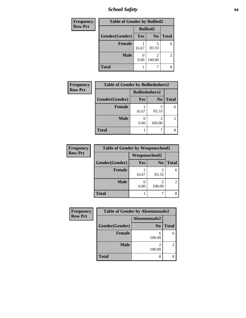# *School Safety* **64**

| Frequency      | <b>Table of Gender by Bullied2</b> |                 |                                       |              |  |
|----------------|------------------------------------|-----------------|---------------------------------------|--------------|--|
| <b>Row Pct</b> |                                    | <b>Bullied2</b> |                                       |              |  |
|                | Gender(Gender)                     | Yes             | N <sub>0</sub>                        | <b>Total</b> |  |
|                | <b>Female</b>                      | 16.67           | 5<br>83.33                            | 6            |  |
|                | <b>Male</b>                        | 0.00            | $\mathcal{D}_{\mathcal{A}}$<br>100.00 | 2            |  |
|                | <b>Total</b>                       |                 |                                       |              |  |

| Frequency      | <b>Table of Gender by Bulliedothers2</b> |                       |                |              |
|----------------|------------------------------------------|-----------------------|----------------|--------------|
| <b>Row Pct</b> |                                          | <b>Bulliedothers2</b> |                |              |
|                | Gender(Gender)                           | <b>Yes</b>            | N <sub>0</sub> | <b>Total</b> |
|                | <b>Female</b>                            | 16.67                 | 5<br>83.33     |              |
|                | <b>Male</b>                              | 0.00                  | 2<br>100.00    |              |
|                | <b>Total</b>                             |                       |                |              |

| Frequency      | <b>Table of Gender by Weaponschool2</b> |                      |                |              |
|----------------|-----------------------------------------|----------------------|----------------|--------------|
| <b>Row Pct</b> |                                         | <b>Weaponschool2</b> |                |              |
|                | Gender(Gender)                          | Yes                  | N <sub>0</sub> | <b>Total</b> |
|                | <b>Female</b>                           | 16.67                | 83.33          |              |
|                | <b>Male</b>                             | 0.00                 | 2<br>100.00    |              |
|                | <b>Total</b>                            |                      |                |              |

| Frequency      | <b>Table of Gender by Absentunsafe2</b> |                |              |  |  |
|----------------|-----------------------------------------|----------------|--------------|--|--|
| <b>Row Pct</b> |                                         | Absentunsafe2  |              |  |  |
|                | Gender(Gender)                          | N <sub>0</sub> | <b>Total</b> |  |  |
|                | <b>Female</b>                           | 6<br>100.00    | 6            |  |  |
|                | <b>Male</b>                             | 100.00         | 2            |  |  |
|                | <b>Total</b>                            | 8              | 8            |  |  |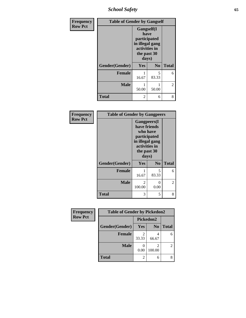*School Safety* **65**

| Frequency      | <b>Table of Gender by Gangself</b> |                                                                                                |                |                |
|----------------|------------------------------------|------------------------------------------------------------------------------------------------|----------------|----------------|
| <b>Row Pct</b> |                                    | Gangself(I<br>have<br>participated<br>in illegal gang<br>activities in<br>the past 30<br>days) |                |                |
|                | Gender(Gender)                     | Yes                                                                                            | N <sub>0</sub> | <b>Total</b>   |
|                | <b>Female</b>                      | 16.67                                                                                          | 5<br>83.33     | 6              |
|                | <b>Male</b>                        | 50.00                                                                                          | 1<br>50.00     | $\overline{2}$ |
|                | <b>Total</b>                       | 2                                                                                              | 6              | 8              |

| Frequency      | <b>Table of Gender by Gangpeers</b> |                                                                                                                             |                |              |
|----------------|-------------------------------------|-----------------------------------------------------------------------------------------------------------------------------|----------------|--------------|
| <b>Row Pct</b> |                                     | <b>Gangpeers</b> (I<br>have friends<br>who have<br>participated<br>in illegal gang<br>activities in<br>the past 30<br>days) |                |              |
|                | Gender(Gender)                      | <b>Yes</b>                                                                                                                  | N <sub>0</sub> | <b>Total</b> |
|                | <b>Female</b>                       | 16.67                                                                                                                       | 5<br>83.33     | 6            |
|                | <b>Male</b>                         | 2<br>100.00                                                                                                                 | 0.00           | 2            |
|                | <b>Total</b>                        | 3                                                                                                                           | 5              | 8            |

| Frequency      | <b>Table of Gender by Pickedon2</b> |            |                |              |
|----------------|-------------------------------------|------------|----------------|--------------|
| <b>Row Pct</b> |                                     | Pickedon2  |                |              |
|                | Gender(Gender)                      | Yes        | N <sub>0</sub> | <b>Total</b> |
|                | <b>Female</b>                       | 2<br>33.33 | 66.67          |              |
|                | <b>Male</b>                         | 0.00       | 100.00         |              |
|                | Total                               | 2          | 6              |              |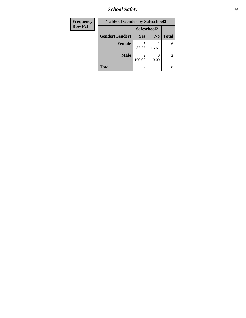*School Safety* **66**

| Frequency      | <b>Table of Gender by Safeschool2</b> |             |                |              |
|----------------|---------------------------------------|-------------|----------------|--------------|
| <b>Row Pct</b> |                                       | Safeschool2 |                |              |
|                | Gender(Gender)                        | Yes         | N <sub>0</sub> | <b>Total</b> |
|                | <b>Female</b>                         | 83.33       | 16.67          | 6            |
|                | <b>Male</b>                           | 100.00      | 0.00           | 2            |
|                | <b>Total</b>                          |             |                | 8            |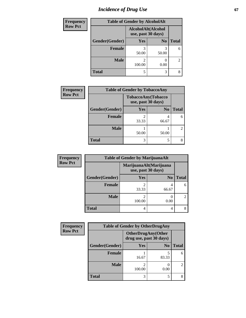# *Incidence of Drug Use* 67

| Frequency      | <b>Table of Gender by AlcoholAlt</b> |                                          |                |                |
|----------------|--------------------------------------|------------------------------------------|----------------|----------------|
| <b>Row Pct</b> |                                      | AlcoholAlt(Alcohol<br>use, past 30 days) |                |                |
|                | Gender(Gender)                       | Yes                                      | N <sub>0</sub> | <b>Total</b>   |
|                | <b>Female</b>                        | 50.00                                    | 50.00          | 6              |
|                | <b>Male</b>                          | 2<br>100.00                              | 0.00           | $\overline{2}$ |
|                | <b>Total</b>                         | 5                                        | 3              | 8              |

| <b>Frequency</b> | <b>Table of Gender by TobaccoAny</b> |            |                                          |                |
|------------------|--------------------------------------|------------|------------------------------------------|----------------|
| <b>Row Pct</b>   |                                      |            | TobaccoAny(Tobacco<br>use, past 30 days) |                |
|                  | Gender(Gender)                       | <b>Yes</b> | N <sub>0</sub>                           | <b>Total</b>   |
|                  | <b>Female</b>                        | 33.33      | 66.67                                    | 6              |
|                  | <b>Male</b>                          | 50.00      | 50.00                                    | $\overline{2}$ |
|                  | <b>Total</b>                         | 3          |                                          | 8              |

| <b>Frequency</b> | <b>Table of Gender by MarijuanaAlt</b> |                         |                                              |       |
|------------------|----------------------------------------|-------------------------|----------------------------------------------|-------|
| <b>Row Pct</b>   |                                        |                         | MarijuanaAlt(Marijuana<br>use, past 30 days) |       |
|                  | Gender(Gender)                         | <b>Yes</b>              | N <sub>0</sub>                               | Total |
|                  | Female                                 | $\overline{c}$<br>33.33 | 4<br>66.67                                   | 6     |
|                  | <b>Male</b>                            | 2<br>100.00             | 0.00                                         | 2     |
|                  | <b>Total</b>                           | 4                       | 4                                            | 8     |

| <b>Frequency</b> | <b>Table of Gender by OtherDrugAny</b> |        |                                                      |              |  |
|------------------|----------------------------------------|--------|------------------------------------------------------|--------------|--|
| <b>Row Pct</b>   |                                        |        | <b>OtherDrugAny(Other</b><br>drug use, past 30 days) |              |  |
|                  | Gender(Gender)                         | Yes    | N <sub>0</sub>                                       | <b>Total</b> |  |
|                  | <b>Female</b>                          | 16.67  | 5<br>83.33                                           | 6            |  |
|                  | <b>Male</b>                            | 100.00 | 0.00                                                 | 2            |  |
|                  | <b>Total</b>                           | 3      | 5                                                    |              |  |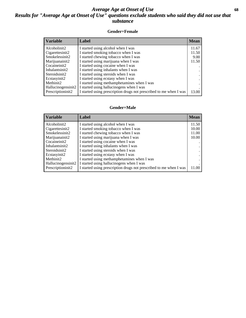## *Average Age at Onset of Use* **68** *Results for "Average Age at Onset of Use" questions exclude students who said they did not use that substance*

### **Gender=Female**

| <b>Variable</b>    | <b>Label</b>                                                       | <b>Mean</b> |
|--------------------|--------------------------------------------------------------------|-------------|
| Alcoholinit2       | I started using alcohol when I was                                 | 11.67       |
| Cigarettesinit2    | I started smoking tobacco when I was                               | 11.50       |
| Smokelessinit2     | I started chewing tobacco when I was                               | 9.00        |
| Marijuanainit2     | I started using marijuana when I was                               | 11.50       |
| Cocaineinit2       | I started using cocaine when I was                                 |             |
| Inhalantsinit2     | I started using inhalants when I was                               |             |
| Steroidsinit2      | I started using steroids when I was                                |             |
| Ecstasyinit2       | I started using ecstasy when I was                                 |             |
| Methinit2          | I started using methamphetamines when I was                        |             |
| Hallucinogensinit2 | I started using hallucinogens when I was                           |             |
| Prescription in t2 | I started using prescription drugs not prescribed to me when I was | 13.00       |

### **Gender=Male**

| <b>Variable</b>    | Label                                                              | <b>Mean</b> |
|--------------------|--------------------------------------------------------------------|-------------|
| Alcoholinit2       | I started using alcohol when I was                                 | 11.50       |
| Cigarettesinit2    | I started smoking tobacco when I was                               | 10.00       |
| Smokelessinit2     | I started chewing tobacco when I was                               | 11.00       |
| Marijuanainit2     | I started using marijuana when I was                               | 10.00       |
| Cocaineinit2       | I started using cocaine when I was                                 |             |
| Inhalantsinit2     | I started using inhalants when I was                               |             |
| Steroidsinit2      | I started using steroids when I was                                |             |
| Ecstasyinit2       | I started using ecstasy when I was                                 |             |
| Methinit2          | I started using methamphetamines when I was                        |             |
| Hallucinogensinit2 | I started using hallucinogens when I was                           |             |
| Prescriptioninit2  | I started using prescription drugs not prescribed to me when I was | 11.00       |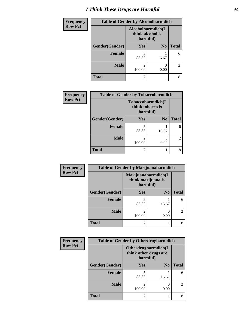# *I Think These Drugs are Harmful* **69**

| <b>Frequency</b> | <b>Table of Gender by Alcoholharmdich</b> |                                                   |                |                |
|------------------|-------------------------------------------|---------------------------------------------------|----------------|----------------|
| <b>Row Pct</b>   |                                           | Alcoholharmdich(I<br>think alcohol is<br>harmful) |                |                |
|                  | Gender(Gender)                            | Yes                                               | N <sub>0</sub> | <b>Total</b>   |
|                  | <b>Female</b>                             | 5<br>83.33                                        | 16.67          | 6              |
|                  | <b>Male</b>                               | 2<br>100.00                                       | 0.00           | $\overline{2}$ |
|                  | <b>Total</b>                              |                                                   |                | 8              |

| Frequency      | <b>Table of Gender by Tobaccoharmdich</b> |                          |                               |                |
|----------------|-------------------------------------------|--------------------------|-------------------------------|----------------|
| <b>Row Pct</b> |                                           | think tobacco is         | Tobaccoharmdich(I<br>harmful) |                |
|                | Gender(Gender)                            | <b>Yes</b>               | N <sub>0</sub>                | <b>Total</b>   |
|                | <b>Female</b>                             | 5<br>83.33               | 16.67                         | 6              |
|                | <b>Male</b>                               | $\mathfrak{D}$<br>100.00 | 0<br>0.00                     | $\overline{2}$ |
|                | <b>Total</b>                              |                          |                               |                |

| Frequency      | <b>Table of Gender by Marijuanaharmdich</b> |             |                                           |                             |  |
|----------------|---------------------------------------------|-------------|-------------------------------------------|-----------------------------|--|
| <b>Row Pct</b> |                                             | harmful)    | Marijuanaharmdich(I<br>think marijuana is |                             |  |
|                | Gender(Gender)                              | <b>Yes</b>  | N <sub>0</sub>                            | <b>Total</b>                |  |
|                | <b>Female</b>                               | 83.33       | 16.67                                     | 6                           |  |
|                | <b>Male</b>                                 | 2<br>100.00 | 0<br>0.00                                 | $\mathcal{D}_{\mathcal{A}}$ |  |
|                | <b>Total</b>                                |             |                                           |                             |  |

| Frequency      | <b>Table of Gender by Otherdrugharmdich</b> |                                   |                     |                |
|----------------|---------------------------------------------|-----------------------------------|---------------------|----------------|
| <b>Row Pct</b> |                                             | think other drugs are<br>harmful) | Otherdrugharmdich(I |                |
|                | Gender(Gender)                              | <b>Yes</b>                        | N <sub>0</sub>      | <b>Total</b>   |
|                | <b>Female</b>                               | 83.33                             | 16.67               | 6              |
|                | <b>Male</b>                                 | 100.00                            | 0.00                | $\mathfrak{D}$ |
|                | <b>Total</b>                                |                                   |                     | 8              |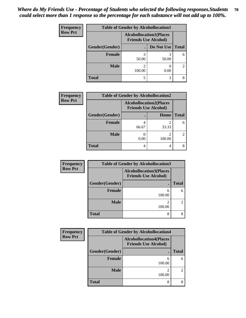| <b>Frequency</b> | <b>Table of Gender by Alcohollocation1</b> |                                                               |            |              |
|------------------|--------------------------------------------|---------------------------------------------------------------|------------|--------------|
| <b>Row Pct</b>   |                                            | <b>Alcohollocation1(Places</b><br><b>Friends Use Alcohol)</b> |            |              |
|                  | Gender(Gender)                             |                                                               | Do Not Use | <b>Total</b> |
|                  | <b>Female</b>                              | 50.00                                                         | 50.00      | 6            |
|                  | <b>Male</b>                                | 100.00                                                        | 0.00       | 2            |
|                  | Total                                      | 5                                                             | 3          |              |

| <b>Frequency</b> | <b>Table of Gender by Alcohollocation2</b> |       |                                                               |              |
|------------------|--------------------------------------------|-------|---------------------------------------------------------------|--------------|
| <b>Row Pct</b>   |                                            |       | <b>Alcohollocation2(Places</b><br><b>Friends Use Alcohol)</b> |              |
|                  | Gender(Gender)                             |       | <b>Home</b>                                                   | <b>Total</b> |
|                  | Female                                     | 66.67 | 33.33                                                         | 6            |
|                  | <b>Male</b>                                | 0.00  | 100.00                                                        |              |
|                  | <b>Total</b>                               | 4     |                                                               |              |

| Frequency      |                | <b>Table of Gender by Alcohollocation3</b>                    |                |
|----------------|----------------|---------------------------------------------------------------|----------------|
| <b>Row Pct</b> |                | <b>Alcohollocation3(Places</b><br><b>Friends Use Alcohol)</b> |                |
|                | Gender(Gender) |                                                               | <b>Total</b>   |
|                | <b>Female</b>  | 6<br>100.00                                                   | 6              |
|                | <b>Male</b>    | $\mathfrak{D}$<br>100.00                                      | $\mathfrak{D}$ |
|                | <b>Total</b>   | 8                                                             |                |

| <b>Frequency</b> | <b>Table of Gender by Alcohollocation4</b> |                                                               |              |  |
|------------------|--------------------------------------------|---------------------------------------------------------------|--------------|--|
| <b>Row Pct</b>   |                                            | <b>Alcohollocation4(Places</b><br><b>Friends Use Alcohol)</b> |              |  |
|                  | Gender(Gender)                             |                                                               | <b>Total</b> |  |
|                  | <b>Female</b>                              | 6<br>100.00                                                   | 6            |  |
|                  | <b>Male</b>                                | 2<br>100.00                                                   |              |  |
|                  | <b>Total</b>                               | 8                                                             |              |  |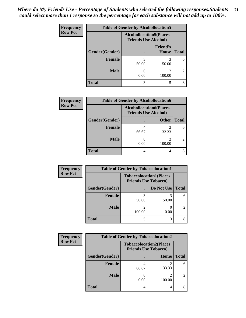| <b>Frequency</b> | <b>Table of Gender by Alcohollocation5</b> |                                                                |                                 |                |
|------------------|--------------------------------------------|----------------------------------------------------------------|---------------------------------|----------------|
| <b>Row Pct</b>   |                                            | <b>Alcohollocation5</b> (Places<br><b>Friends Use Alcohol)</b> |                                 |                |
|                  | Gender(Gender)                             |                                                                | <b>Friend's</b><br><b>House</b> | <b>Total</b>   |
|                  | Female                                     | 3<br>50.00                                                     | 50.00                           | 6              |
|                  | <b>Male</b>                                | 0.00                                                           | 2<br>100.00                     | $\overline{2}$ |
|                  | <b>Total</b>                               | 3                                                              | 5                               | 8              |

| <b>Frequency</b> | <b>Table of Gender by Alcohollocation6</b> |                                                               |              |              |
|------------------|--------------------------------------------|---------------------------------------------------------------|--------------|--------------|
| <b>Row Pct</b>   |                                            | <b>Alcohollocation6(Places</b><br><b>Friends Use Alcohol)</b> |              |              |
|                  | Gender(Gender)                             |                                                               | <b>Other</b> | <b>Total</b> |
|                  | <b>Female</b>                              | 66.67                                                         | 33.33        |              |
|                  | <b>Male</b>                                | 0.00                                                          | 100.00       |              |
|                  | <b>Total</b>                               | 4                                                             | 4            |              |

| Frequency      | <b>Table of Gender by Tobaccolocation1</b> |                                                               |            |                |
|----------------|--------------------------------------------|---------------------------------------------------------------|------------|----------------|
| <b>Row Pct</b> |                                            | <b>Tobaccolocation1(Places</b><br><b>Friends Use Tobacco)</b> |            |                |
|                | Gender(Gender)                             |                                                               | Do Not Use | <b>Total</b>   |
|                | Female                                     | 50.00                                                         | 50.00      | 6              |
|                | <b>Male</b>                                | 100.00                                                        | 0.00       | $\overline{2}$ |
|                | <b>Total</b>                               |                                                               |            | 8              |

| <b>Frequency</b> | <b>Table of Gender by Tobaccolocation2</b> |                                                               |        |              |
|------------------|--------------------------------------------|---------------------------------------------------------------|--------|--------------|
| <b>Row Pct</b>   |                                            | <b>Tobaccolocation2(Places</b><br><b>Friends Use Tobacco)</b> |        |              |
|                  | Gender(Gender)                             |                                                               | Home   | <b>Total</b> |
|                  | Female                                     | 66.67                                                         | 33.33  | 6            |
|                  | <b>Male</b>                                | 0.00                                                          | 100.00 |              |
|                  | <b>Total</b>                               |                                                               |        |              |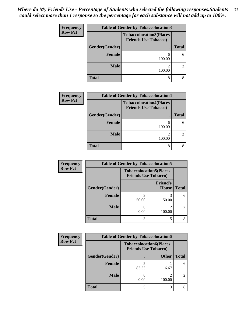| <b>Frequency</b> | <b>Table of Gender by Tobaccolocation3</b><br><b>Tobaccolocation3(Places</b><br><b>Friends Use Tobacco)</b> |             |              |  |
|------------------|-------------------------------------------------------------------------------------------------------------|-------------|--------------|--|
| <b>Row Pct</b>   |                                                                                                             |             |              |  |
|                  | Gender(Gender)<br>٠                                                                                         |             | <b>Total</b> |  |
|                  | <b>Female</b>                                                                                               | 6<br>100.00 | 6            |  |
|                  | <b>Male</b>                                                                                                 | າ<br>100.00 | 2            |  |
|                  | <b>Total</b>                                                                                                | 8           |              |  |

| <b>Frequency</b> | <b>Table of Gender by Tobaccolocation4</b>                    |                         |              |  |
|------------------|---------------------------------------------------------------|-------------------------|--------------|--|
| <b>Row Pct</b>   | <b>Tobaccolocation4(Places</b><br><b>Friends Use Tobacco)</b> |                         |              |  |
|                  | Gender(Gender)                                                |                         | <b>Total</b> |  |
|                  | <b>Female</b>                                                 | 6<br>100.00             | 6            |  |
|                  | Male                                                          | $\mathcal{D}$<br>100.00 |              |  |
|                  | <b>Total</b>                                                  | 8                       |              |  |

| Frequency      | <b>Table of Gender by Tobaccolocation5</b> |                                                               |                                 |                |
|----------------|--------------------------------------------|---------------------------------------------------------------|---------------------------------|----------------|
| <b>Row Pct</b> |                                            | <b>Tobaccolocation5(Places</b><br><b>Friends Use Tobacco)</b> |                                 |                |
|                | Gender(Gender)                             |                                                               | <b>Friend's</b><br><b>House</b> | <b>Total</b>   |
|                | Female                                     | 50.00                                                         | 3<br>50.00                      | 6              |
|                | <b>Male</b>                                | 0.00                                                          | $\mathfrak{D}$<br>100.00        | $\mathfrak{D}$ |
|                | <b>Total</b>                               | 3                                                             | 5                               |                |

| Frequency      | <b>Table of Gender by Tobaccolocation6</b> |                                                               |              |              |
|----------------|--------------------------------------------|---------------------------------------------------------------|--------------|--------------|
| <b>Row Pct</b> |                                            | <b>Tobaccolocation6(Places</b><br><b>Friends Use Tobacco)</b> |              |              |
|                | Gender(Gender)                             |                                                               | <b>Other</b> | <b>Total</b> |
|                | Female                                     | 83.33                                                         | 16.67        |              |
|                | <b>Male</b>                                | 0.00                                                          | 2<br>100.00  |              |
|                | <b>Total</b>                               | 5                                                             | 3            |              |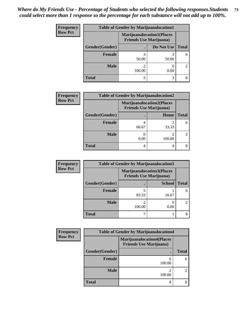| <b>Frequency</b> | <b>Table of Gender by Marijuanalocation1</b> |                                |                                  |              |
|------------------|----------------------------------------------|--------------------------------|----------------------------------|--------------|
| <b>Row Pct</b>   |                                              | <b>Friends Use Marijuana</b> ) | <b>Marijuanalocation1(Places</b> |              |
|                  | <b>Gender</b> (Gender)                       |                                | Do Not Use                       | <b>Total</b> |
|                  | <b>Female</b>                                | 50.00                          | 50.00                            | 6            |
|                  | <b>Male</b>                                  | 100.00                         | 0.00                             | 2            |
|                  | <b>Total</b>                                 |                                | 3                                |              |

| <b>Frequency</b> | <b>Table of Gender by Marijuanalocation2</b> |                                                                    |        |               |  |
|------------------|----------------------------------------------|--------------------------------------------------------------------|--------|---------------|--|
| <b>Row Pct</b>   |                                              | <b>Marijuanalocation2(Places</b><br><b>Friends Use Marijuana</b> ) |        |               |  |
|                  | Gender(Gender)                               |                                                                    | Home   | <b>Total</b>  |  |
|                  | <b>Female</b>                                | 66.67                                                              | 33.33  | 6             |  |
|                  | <b>Male</b>                                  | 0.00                                                               | 100.00 | $\mathcal{L}$ |  |
|                  | <b>Total</b>                                 |                                                                    | 4      |               |  |

| Frequency      | <b>Table of Gender by Marijuanalocation3</b> |                                                                    |               |              |
|----------------|----------------------------------------------|--------------------------------------------------------------------|---------------|--------------|
| <b>Row Pct</b> |                                              | <b>Marijuanalocation3(Places</b><br><b>Friends Use Marijuana</b> ) |               |              |
|                | Gender(Gender)                               |                                                                    | <b>School</b> | <b>Total</b> |
|                | Female                                       | 83.33                                                              | 16.67         | 6            |
|                | <b>Male</b>                                  | 100.00                                                             | 0.00          |              |
|                | <b>Total</b>                                 |                                                                    |               |              |

| <b>Frequency</b> | <b>Table of Gender by Marijuanalocation4</b> |                                                                    |              |  |  |
|------------------|----------------------------------------------|--------------------------------------------------------------------|--------------|--|--|
| <b>Row Pct</b>   |                                              | <b>Marijuanalocation4(Places</b><br><b>Friends Use Marijuana</b> ) |              |  |  |
|                  | Gender(Gender)                               |                                                                    | <b>Total</b> |  |  |
|                  | Female                                       | 6<br>100.00                                                        | 6            |  |  |
|                  | <b>Male</b>                                  | 2<br>100.00                                                        | 2            |  |  |
|                  | <b>Total</b>                                 | 8                                                                  |              |  |  |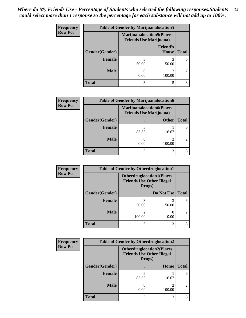| <b>Frequency</b> | <b>Table of Gender by Marijuanalocation5</b>                        |            |                                 |                             |
|------------------|---------------------------------------------------------------------|------------|---------------------------------|-----------------------------|
| <b>Row Pct</b>   | <b>Marijuanalocation5</b> (Places<br><b>Friends Use Marijuana</b> ) |            |                                 |                             |
|                  | Gender(Gender)                                                      |            | <b>Friend's</b><br><b>House</b> | <b>Total</b>                |
|                  | <b>Female</b>                                                       | 3<br>50.00 | 50.00                           | 6                           |
|                  | <b>Male</b>                                                         | 0.00       | 100.00                          | $\mathcal{D}_{\mathcal{L}}$ |
|                  | <b>Total</b>                                                        | 3          |                                 |                             |

| <b>Frequency</b> | <b>Table of Gender by Marijuanalocation6</b> |       |                                                                    |              |
|------------------|----------------------------------------------|-------|--------------------------------------------------------------------|--------------|
| <b>Row Pct</b>   |                                              |       | <b>Marijuanalocation6(Places</b><br><b>Friends Use Marijuana</b> ) |              |
|                  | <b>Gender</b> (Gender)                       |       | <b>Other</b>                                                       | <b>Total</b> |
|                  | Female                                       | 83.33 | 16.67                                                              | 6            |
|                  | <b>Male</b>                                  | 0.00  | 100.00                                                             | 2            |
|                  | <b>Total</b>                                 |       | 3                                                                  | 8            |

| <b>Frequency</b> | <b>Table of Gender by Otherdruglocation1</b> |                                                                                |            |                             |
|------------------|----------------------------------------------|--------------------------------------------------------------------------------|------------|-----------------------------|
| <b>Row Pct</b>   |                                              | <b>Otherdruglocation1(Places</b><br><b>Friends Use Other Illegal</b><br>Drugs) |            |                             |
|                  | Gender(Gender)                               |                                                                                | Do Not Use | <b>Total</b>                |
|                  | Female                                       | 50.00                                                                          | 50.00      | 6                           |
|                  | <b>Male</b>                                  | 100.00                                                                         | 0.00       | $\mathcal{D}_{\mathcal{L}}$ |
|                  | <b>Total</b>                                 | 5                                                                              | 3          |                             |

| Frequency      | <b>Table of Gender by Otherdruglocation2</b>                                   |       |        |                             |
|----------------|--------------------------------------------------------------------------------|-------|--------|-----------------------------|
| <b>Row Pct</b> | <b>Otherdruglocation2(Places</b><br><b>Friends Use Other Illegal</b><br>Drugs) |       |        |                             |
|                | Gender(Gender)                                                                 |       | Home   | <b>Total</b>                |
|                | Female                                                                         | 83.33 | 16.67  | 6                           |
|                | <b>Male</b>                                                                    | 0.00  | 100.00 | $\mathcal{D}_{\mathcal{A}}$ |
|                | <b>Total</b>                                                                   | 5     | 3      | 8                           |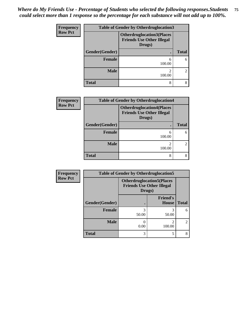| <b>Frequency</b> | <b>Table of Gender by Otherdruglocation3</b> |                                                                                |              |  |
|------------------|----------------------------------------------|--------------------------------------------------------------------------------|--------------|--|
| <b>Row Pct</b>   |                                              | <b>Otherdruglocation3(Places</b><br><b>Friends Use Other Illegal</b><br>Drugs) |              |  |
|                  | Gender(Gender)                               |                                                                                | <b>Total</b> |  |
|                  | <b>Female</b>                                | 6<br>100.00                                                                    |              |  |
|                  | <b>Male</b>                                  | 2<br>100.00                                                                    |              |  |
|                  | <b>Total</b>                                 | 8                                                                              |              |  |

| <b>Frequency</b> |                | <b>Table of Gender by Otherdruglocation4</b>                                   |                |  |  |
|------------------|----------------|--------------------------------------------------------------------------------|----------------|--|--|
| <b>Row Pct</b>   |                | <b>Otherdruglocation4(Places</b><br><b>Friends Use Other Illegal</b><br>Drugs) |                |  |  |
|                  | Gender(Gender) | ٠                                                                              | <b>Total</b>   |  |  |
|                  | <b>Female</b>  | 6<br>100.00                                                                    | 6              |  |  |
|                  | <b>Male</b>    | 2<br>100.00                                                                    | $\overline{2}$ |  |  |
|                  | <b>Total</b>   | 8                                                                              | 8              |  |  |

| <b>Frequency</b> |                                                                                | <b>Table of Gender by Otherdruglocation5</b> |                                 |                |
|------------------|--------------------------------------------------------------------------------|----------------------------------------------|---------------------------------|----------------|
| <b>Row Pct</b>   | <b>Otherdruglocation5(Places</b><br><b>Friends Use Other Illegal</b><br>Drugs) |                                              |                                 |                |
|                  | Gender(Gender)                                                                 |                                              | <b>Friend's</b><br><b>House</b> | <b>Total</b>   |
|                  | <b>Female</b>                                                                  | 3<br>50.00                                   | 50.00                           | 6              |
|                  | <b>Male</b>                                                                    | 0.00                                         | 100.00                          | $\mathfrak{D}$ |
|                  | <b>Total</b>                                                                   | 3                                            | 5                               | 8              |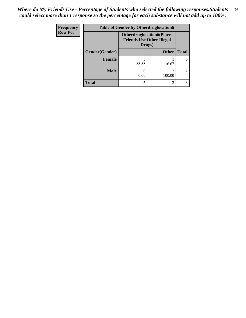| Frequency      | <b>Table of Gender by Otherdruglocation6</b>                                   |       |              |                |
|----------------|--------------------------------------------------------------------------------|-------|--------------|----------------|
| <b>Row Pct</b> | <b>Otherdruglocation6(Places</b><br><b>Friends Use Other Illegal</b><br>Drugs) |       |              |                |
|                | Gender(Gender)                                                                 |       | <b>Other</b> | <b>Total</b>   |
|                | <b>Female</b>                                                                  | 83.33 | 16.67        | 6              |
|                | <b>Male</b>                                                                    | 0.00  | 100.00       | $\overline{2}$ |
|                | <b>Total</b>                                                                   |       | 3            | 8              |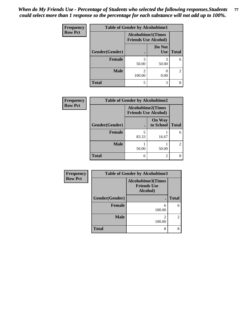| Frequency      | <b>Table of Gender by Alcoholtime1</b> |                                                          |                      |              |
|----------------|----------------------------------------|----------------------------------------------------------|----------------------|--------------|
| <b>Row Pct</b> |                                        | <b>Alcoholtime1(Times</b><br><b>Friends Use Alcohol)</b> |                      |              |
|                | Gender(Gender)                         |                                                          | Do Not<br><b>Use</b> | <b>Total</b> |
|                | <b>Female</b>                          | 3<br>50.00                                               | 3<br>50.00           | 6            |
|                | <b>Male</b>                            | 2<br>100.00                                              | 0.00                 | 2            |
|                | <b>Total</b>                           | 5                                                        | 3                    | 8            |

| <b>Frequency</b> | <b>Table of Gender by Alcoholtime2</b> |                                                          |                            |                |
|------------------|----------------------------------------|----------------------------------------------------------|----------------------------|----------------|
| <b>Row Pct</b>   |                                        | <b>Alcoholtime2(Times</b><br><b>Friends Use Alcohol)</b> |                            |                |
|                  | Gender(Gender)                         |                                                          | <b>On Way</b><br>to School | <b>Total</b>   |
|                  | <b>Female</b>                          | 5<br>83.33                                               | 16.67                      | 6              |
|                  | <b>Male</b>                            | 50.00                                                    | 50.00                      | $\overline{2}$ |
|                  | <b>Total</b>                           | 6                                                        | 2                          | 8              |

| Frequency      | <b>Table of Gender by Alcoholtime3</b> |                                                             |                |  |
|----------------|----------------------------------------|-------------------------------------------------------------|----------------|--|
| <b>Row Pct</b> |                                        | <b>Alcoholtime3(Times</b><br><b>Friends Use</b><br>Alcohol) |                |  |
|                | Gender(Gender)                         |                                                             | <b>Total</b>   |  |
|                | <b>Female</b>                          | 6<br>100.00                                                 | 6              |  |
|                | <b>Male</b>                            | 100.00                                                      | $\overline{2}$ |  |
|                | <b>Total</b>                           | 8                                                           | 8              |  |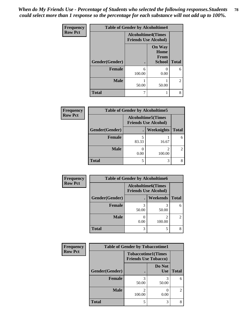*When do My Friends Use - Percentage of Students who selected the following responses.Students could select more than 1 response so the percentage for each substance will not add up to 100%.* **78**

| <b>Frequency</b> | <b>Table of Gender by Alcoholtime4</b> |                                                          |                                                       |                |
|------------------|----------------------------------------|----------------------------------------------------------|-------------------------------------------------------|----------------|
| <b>Row Pct</b>   |                                        | <b>Alcoholtime4(Times</b><br><b>Friends Use Alcohol)</b> |                                                       |                |
|                  | Gender(Gender)                         |                                                          | <b>On Way</b><br>Home<br><b>From</b><br><b>School</b> | <b>Total</b>   |
|                  | <b>Female</b>                          | 6<br>100.00                                              | 0<br>0.00                                             | 6              |
|                  | <b>Male</b>                            | 50.00                                                    | 50.00                                                 | $\overline{c}$ |
|                  | <b>Total</b>                           | 7                                                        | 1                                                     | 8              |

| <b>Frequency</b> | <b>Table of Gender by Alcoholtime5</b> |                                                   |             |                |
|------------------|----------------------------------------|---------------------------------------------------|-------------|----------------|
| <b>Row Pct</b>   |                                        | Alcoholtime5(Times<br><b>Friends Use Alcohol)</b> |             |                |
|                  | Gender(Gender)                         |                                                   | Weeknights  | <b>Total</b>   |
|                  | <b>Female</b>                          | 83.33                                             | 16.67       | 6              |
|                  | <b>Male</b>                            | 0.00                                              | 2<br>100.00 | $\mathfrak{D}$ |
|                  | <b>Total</b>                           | 5                                                 | 3           | 8              |

| Frequency      | <b>Table of Gender by Alcoholtime6</b> |       |                                                          |                |
|----------------|----------------------------------------|-------|----------------------------------------------------------|----------------|
| <b>Row Pct</b> |                                        |       | <b>Alcoholtime6(Times</b><br><b>Friends Use Alcohol)</b> |                |
|                | Gender(Gender)                         |       | <b>Weekends</b>                                          | <b>Total</b>   |
|                | Female                                 | 50.00 | 50.00                                                    | 6              |
|                | <b>Male</b>                            | 0.00  | 2<br>100.00                                              | $\overline{2}$ |
|                | <b>Total</b>                           | 3     | 5                                                        | 8              |

| Frequency      | <b>Table of Gender by Tobaccotime1</b> |                                                          |                      |                |
|----------------|----------------------------------------|----------------------------------------------------------|----------------------|----------------|
| <b>Row Pct</b> |                                        | <b>Tobaccotime1(Times</b><br><b>Friends Use Tobacco)</b> |                      |                |
|                | Gender(Gender)                         |                                                          | Do Not<br><b>Use</b> | <b>Total</b>   |
|                | <b>Female</b>                          | 3<br>50.00                                               | 3<br>50.00           | 6              |
|                | <b>Male</b>                            | っ<br>100.00                                              | 0.00                 | $\mathfrak{D}$ |
|                | <b>Total</b>                           | 5                                                        | 3                    | 8              |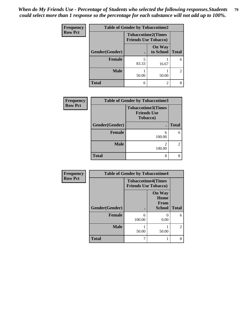| <b>Frequency</b> | <b>Table of Gender by Tobaccotime2</b> |                                                          |                            |                             |
|------------------|----------------------------------------|----------------------------------------------------------|----------------------------|-----------------------------|
| <b>Row Pct</b>   |                                        | <b>Tobaccotime2(Times</b><br><b>Friends Use Tobacco)</b> |                            |                             |
|                  | Gender(Gender)                         |                                                          | <b>On Way</b><br>to School | <b>Total</b>                |
|                  | <b>Female</b>                          | 83.33                                                    | 16.67                      | 6                           |
|                  | <b>Male</b>                            | 50.00                                                    | 50.00                      | $\mathcal{D}_{\mathcal{L}}$ |
|                  | <b>Total</b>                           | 6                                                        | 2                          |                             |

| Frequency      | <b>Table of Gender by Tobaccotime3</b> |                                                             |              |  |
|----------------|----------------------------------------|-------------------------------------------------------------|--------------|--|
| <b>Row Pct</b> |                                        | <b>Tobaccotime3(Times</b><br><b>Friends Use</b><br>Tobacco) |              |  |
|                | Gender(Gender)                         |                                                             | <b>Total</b> |  |
|                | Female                                 | 6<br>100.00                                                 | 6            |  |
|                | <b>Male</b>                            | 2<br>100.00                                                 |              |  |
|                | <b>Total</b>                           | 8                                                           |              |  |

| Frequency      | <b>Table of Gender by Tobaccotime4</b> |                                                          |                                                       |                |
|----------------|----------------------------------------|----------------------------------------------------------|-------------------------------------------------------|----------------|
| <b>Row Pct</b> |                                        | <b>Tobaccotime4(Times</b><br><b>Friends Use Tobacco)</b> |                                                       |                |
|                | Gender(Gender)                         |                                                          | <b>On Way</b><br>Home<br><b>From</b><br><b>School</b> | <b>Total</b>   |
|                | <b>Female</b>                          | 6<br>100.00                                              | 0.00                                                  | 6              |
|                | <b>Male</b>                            | 50.00                                                    | 50.00                                                 | $\overline{2}$ |
|                | <b>Total</b>                           | 7                                                        |                                                       | 8              |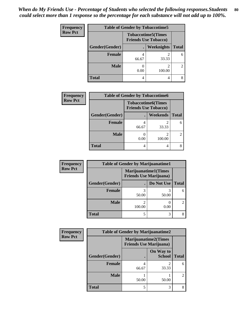| <b>Frequency</b> | <b>Table of Gender by Tobaccotime5</b> |                                                          |             |              |
|------------------|----------------------------------------|----------------------------------------------------------|-------------|--------------|
| <b>Row Pct</b>   |                                        | <b>Tobaccotime5(Times</b><br><b>Friends Use Tobacco)</b> |             |              |
|                  | Gender(Gender)                         |                                                          | Weeknights  | <b>Total</b> |
|                  | <b>Female</b>                          | 66.67                                                    | 2<br>33.33  | 6            |
|                  | <b>Male</b>                            | 0.00                                                     | 2<br>100.00 | 2            |
|                  | <b>Total</b>                           |                                                          | 4           | 8            |

| Frequency      | <b>Table of Gender by Tobaccotime6</b> |                                                          |                          |              |
|----------------|----------------------------------------|----------------------------------------------------------|--------------------------|--------------|
| <b>Row Pct</b> |                                        | <b>Tobaccotime6(Times</b><br><b>Friends Use Tobacco)</b> |                          |              |
|                | Gender(Gender)                         |                                                          | <b>Weekends</b>          | <b>Total</b> |
|                | Female                                 | 66.67                                                    | 2<br>33.33               |              |
|                | <b>Male</b>                            | 0.00                                                     | $\mathfrak{D}$<br>100.00 |              |
|                | <b>Total</b>                           | 4                                                        | 4                        |              |

| Frequency      | <b>Table of Gender by Marijuanatime1</b> |                                                               |                   |              |  |
|----------------|------------------------------------------|---------------------------------------------------------------|-------------------|--------------|--|
| <b>Row Pct</b> |                                          | <b>Marijuanatime1(Times</b><br><b>Friends Use Marijuana</b> ) |                   |              |  |
|                | Gender(Gender)                           |                                                               | Do Not Use        | <b>Total</b> |  |
|                | <b>Female</b>                            | 50.00                                                         | 50.00             | 6            |  |
|                | <b>Male</b>                              | 100.00                                                        | $\bigcap$<br>0.00 | 2            |  |
|                | <b>Total</b>                             | 5                                                             | 3                 | 8            |  |

| Frequency      | <b>Table of Gender by Marijuanatime2</b> |                                |                             |                                                                                                                                                                 |
|----------------|------------------------------------------|--------------------------------|-----------------------------|-----------------------------------------------------------------------------------------------------------------------------------------------------------------|
| <b>Row Pct</b> |                                          | <b>Friends Use Marijuana</b> ) | <b>Marijuanatime2(Times</b> |                                                                                                                                                                 |
|                | Gender(Gender)                           |                                | On Way to<br><b>School</b>  | <b>Total</b>                                                                                                                                                    |
|                | Female                                   | 66.67                          | 33.33                       | 6                                                                                                                                                               |
|                | <b>Male</b>                              | 50.00                          | 50.00                       | $\mathcal{D}_{\mathcal{A}}^{\mathcal{A}}(\mathcal{A})=\mathcal{D}_{\mathcal{A}}^{\mathcal{A}}(\mathcal{A})\mathcal{D}_{\mathcal{A}}^{\mathcal{A}}(\mathcal{A})$ |
|                | <b>Total</b>                             | 5                              | 3                           |                                                                                                                                                                 |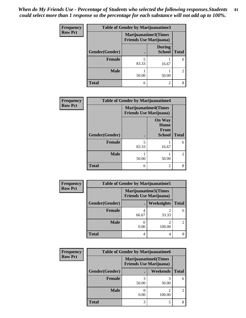| Frequency      | <b>Table of Gender by Marijuanatime3</b> |                                                        |                                |                |
|----------------|------------------------------------------|--------------------------------------------------------|--------------------------------|----------------|
| <b>Row Pct</b> |                                          | Marijuanatime3(Times<br><b>Friends Use Marijuana</b> ) |                                |                |
|                | Gender(Gender)                           |                                                        | <b>During</b><br><b>School</b> | <b>Total</b>   |
|                | <b>Female</b>                            | 5<br>83.33                                             | 16.67                          | 6              |
|                | <b>Male</b>                              | 50.00                                                  | 50.00                          | $\mathfrak{D}$ |
|                | <b>Total</b>                             | 6                                                      | $\mathfrak{D}$                 | 8              |

| Frequency      | <b>Table of Gender by Marijuanatime4</b> |                                |                                                |              |
|----------------|------------------------------------------|--------------------------------|------------------------------------------------|--------------|
| <b>Row Pct</b> |                                          | <b>Friends Use Marijuana</b> ) | <b>Marijuanatime4(Times</b>                    |              |
|                | Gender(Gender)                           |                                | <b>On Way</b><br>Home<br>From<br><b>School</b> | <b>Total</b> |
|                | <b>Female</b>                            | 5<br>83.33                     | 16.67                                          | 6            |
|                | <b>Male</b>                              | 50.00                          | 50.00                                          | 2            |
|                | <b>Total</b>                             | 6                              | 2                                              | 8            |

| <b>Frequency</b> | <b>Table of Gender by Marijuanatime5</b> |       |                                                                |                |  |
|------------------|------------------------------------------|-------|----------------------------------------------------------------|----------------|--|
| <b>Row Pct</b>   |                                          |       | <b>Marijuanatime5</b> (Times<br><b>Friends Use Marijuana</b> ) |                |  |
|                  | Gender(Gender)                           |       | Weeknights                                                     | <b>Total</b>   |  |
|                  | <b>Female</b>                            | 66.67 | 33.33                                                          | 6              |  |
|                  | <b>Male</b>                              | 0.00  | 2<br>100.00                                                    | $\overline{2}$ |  |
|                  | <b>Total</b>                             |       | 4                                                              | 8              |  |

| Frequency      | <b>Table of Gender by Marijuanatime6</b> |                                                               |                          |                |  |
|----------------|------------------------------------------|---------------------------------------------------------------|--------------------------|----------------|--|
| <b>Row Pct</b> |                                          | <b>Marijuanatime6(Times</b><br><b>Friends Use Marijuana</b> ) |                          |                |  |
|                | Gender(Gender)                           |                                                               | <b>Weekends</b>          | <b>Total</b>   |  |
|                | Female                                   | 50.00                                                         | 50.00                    | 6              |  |
|                | <b>Male</b>                              | 0.00                                                          | $\mathfrak{D}$<br>100.00 | $\overline{2}$ |  |
|                | <b>Total</b>                             | 3                                                             | 5                        | 8              |  |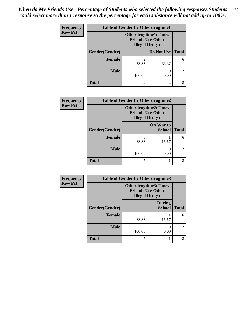| <b>Frequency</b> | <b>Table of Gender by Otherdrugtime1</b> |                         |                                                          |                                                                                                                                                                 |  |
|------------------|------------------------------------------|-------------------------|----------------------------------------------------------|-----------------------------------------------------------------------------------------------------------------------------------------------------------------|--|
| <b>Row Pct</b>   |                                          | <b>Illegal Drugs)</b>   | <b>Otherdrugtime1</b> (Times<br><b>Friends Use Other</b> |                                                                                                                                                                 |  |
|                  | Gender(Gender)                           |                         | Do Not Use   Total                                       |                                                                                                                                                                 |  |
|                  | <b>Female</b>                            | $\mathfrak{D}$<br>33.33 | 66.67                                                    | 6                                                                                                                                                               |  |
|                  | <b>Male</b>                              | 2<br>100.00             | 0.00                                                     | $\mathcal{D}_{\mathcal{A}}^{\mathcal{A}}(\mathcal{A})=\mathcal{D}_{\mathcal{A}}^{\mathcal{A}}(\mathcal{A})\mathcal{D}_{\mathcal{A}}^{\mathcal{A}}(\mathcal{A})$ |  |
|                  | <b>Total</b>                             | 4                       | 4                                                        |                                                                                                                                                                 |  |

| Frequency      | <b>Table of Gender by Otherdrugtime2</b> |                                                                                   |                            |              |
|----------------|------------------------------------------|-----------------------------------------------------------------------------------|----------------------------|--------------|
| <b>Row Pct</b> |                                          | <b>Otherdrugtime2(Times</b><br><b>Friends Use Other</b><br><b>Illegal Drugs</b> ) |                            |              |
|                | Gender(Gender)                           |                                                                                   | On Way to<br><b>School</b> | <b>Total</b> |
|                | <b>Female</b>                            | 5<br>83.33                                                                        | 16.67                      |              |
|                | <b>Male</b>                              | 2<br>100.00                                                                       | 0.00                       |              |
|                | <b>Total</b>                             | 7                                                                                 |                            |              |

| Frequency      |                | <b>Table of Gender by Otherdrugtime3</b>          |                                |                |
|----------------|----------------|---------------------------------------------------|--------------------------------|----------------|
| <b>Row Pct</b> |                | <b>Friends Use Other</b><br><b>Illegal Drugs)</b> | Otherdrugtime3(Times           |                |
|                | Gender(Gender) |                                                   | <b>During</b><br><b>School</b> | <b>Total</b>   |
|                | <b>Female</b>  | 83.33                                             | 16.67                          | 6              |
|                | <b>Male</b>    | 100.00                                            | 0.00                           | $\overline{c}$ |
|                | <b>Total</b>   |                                                   |                                | 8              |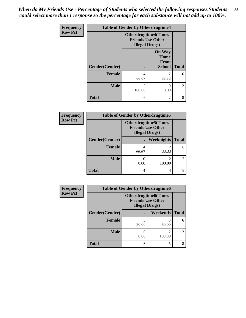*When do My Friends Use - Percentage of Students who selected the following responses.Students could select more than 1 response so the percentage for each substance will not add up to 100%.* **83**

| <b>Frequency</b> | <b>Table of Gender by Otherdrugtime4</b> |                                                                                   |                                                       |                |
|------------------|------------------------------------------|-----------------------------------------------------------------------------------|-------------------------------------------------------|----------------|
| <b>Row Pct</b>   |                                          | <b>Otherdrugtime4(Times</b><br><b>Friends Use Other</b><br><b>Illegal Drugs</b> ) |                                                       |                |
|                  | Gender(Gender)                           |                                                                                   | <b>On Way</b><br>Home<br><b>From</b><br><b>School</b> | <b>Total</b>   |
|                  | <b>Female</b>                            | 4<br>66.67                                                                        | $\mathfrak{D}$<br>33.33                               | 6              |
|                  | <b>Male</b>                              | $\mathfrak{D}$<br>100.00                                                          | 0.00                                                  | $\mathfrak{D}$ |
|                  | <b>Total</b>                             | 6                                                                                 | 2                                                     | 8              |

| Frequency      | <b>Table of Gender by Otherdrugtime5</b> |                                                                                    |            |                |
|----------------|------------------------------------------|------------------------------------------------------------------------------------|------------|----------------|
| <b>Row Pct</b> |                                          | <b>Otherdrugtime5</b> (Times<br><b>Friends Use Other</b><br><b>Illegal Drugs</b> ) |            |                |
|                | Gender(Gender)                           |                                                                                    | Weeknights | <b>Total</b>   |
|                | <b>Female</b>                            | 4<br>66.67                                                                         | 33.33      | 6              |
|                | <b>Male</b>                              | 0.00                                                                               | 100.00     | $\mathfrak{D}$ |
|                | <b>Total</b>                             | 4                                                                                  | 4          | 8              |

| <b>Frequency</b> | <b>Table of Gender by Otherdrugtime6</b> |                                                                                   |                          |                |  |
|------------------|------------------------------------------|-----------------------------------------------------------------------------------|--------------------------|----------------|--|
| <b>Row Pct</b>   |                                          | <b>Otherdrugtime6(Times</b><br><b>Friends Use Other</b><br><b>Illegal Drugs</b> ) |                          |                |  |
|                  | Gender(Gender)                           |                                                                                   | Weekends                 | <b>Total</b>   |  |
|                  | <b>Female</b>                            | 50.00                                                                             | 3<br>50.00               | 6              |  |
|                  | <b>Male</b>                              | 0.00                                                                              | $\mathfrak{D}$<br>100.00 | $\overline{c}$ |  |
|                  | <b>Total</b>                             | 3                                                                                 | 5                        | 8              |  |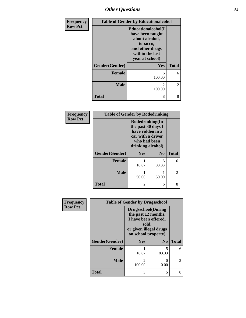## *Other Questions* **84**

| Frequency      | <b>Table of Gender by Educationalcohol</b> |                                                                                                                               |              |
|----------------|--------------------------------------------|-------------------------------------------------------------------------------------------------------------------------------|--------------|
| <b>Row Pct</b> |                                            | Educationalcohol(I<br>have been taught<br>about alcohol,<br>tobacco,<br>and other drugs<br>within the last<br>year at school) |              |
|                | Gender(Gender)                             | Yes                                                                                                                           | <b>Total</b> |
|                | <b>Female</b>                              | 6<br>100.00                                                                                                                   | 6            |
|                | <b>Male</b>                                | $\mathfrak{D}$<br>100.00                                                                                                      | 2            |
|                | <b>Total</b>                               | 8                                                                                                                             | 8            |

| Frequency      | <b>Table of Gender by Rodedrinking</b> |                                                                                                                     |                |              |
|----------------|----------------------------------------|---------------------------------------------------------------------------------------------------------------------|----------------|--------------|
| <b>Row Pct</b> |                                        | Rodedrinking(In<br>the past 30 days I<br>have ridden in a<br>car with a driver<br>who had been<br>drinking alcohol) |                |              |
|                | Gender(Gender)                         | Yes                                                                                                                 | N <sub>o</sub> | <b>Total</b> |
|                | <b>Female</b>                          | 16.67                                                                                                               | 5<br>83.33     | 6            |
|                | <b>Male</b>                            | 50.00                                                                                                               | 50.00          | 2            |
|                | <b>Total</b>                           | 2                                                                                                                   | 6              | 8            |

| Frequency      | <b>Table of Gender by Drugsschool</b> |                                                                                                                                     |                |              |
|----------------|---------------------------------------|-------------------------------------------------------------------------------------------------------------------------------------|----------------|--------------|
| <b>Row Pct</b> |                                       | <b>Drugsschool</b> (During<br>the past 12 months,<br>I have been offered,<br>sold,<br>or given illegal drugs<br>on school property) |                |              |
|                | Gender(Gender)                        | Yes                                                                                                                                 | N <sub>0</sub> | <b>Total</b> |
|                | <b>Female</b>                         | 16.67                                                                                                                               | 5<br>83.33     | 6            |
|                | <b>Male</b>                           | 2<br>100.00                                                                                                                         | 0.00           | 2            |
|                | <b>Total</b>                          | 3                                                                                                                                   | 5              | 8            |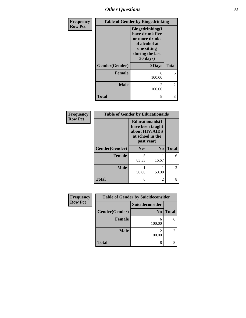*Other Questions* **85**

| Frequency      | <b>Table of Gender by Bingedrinking</b> |                                                                                                                             |              |
|----------------|-----------------------------------------|-----------------------------------------------------------------------------------------------------------------------------|--------------|
| <b>Row Pct</b> |                                         | <b>Bingedrinking</b> (I<br>have drunk five<br>or more drinks<br>of alcohol at<br>one sitting<br>during the last<br>30 days) |              |
|                | Gender(Gender)                          | 0 Days                                                                                                                      | <b>Total</b> |
|                | Female                                  | 6<br>100.00                                                                                                                 | 6            |
|                | <b>Male</b>                             | $\mathcal{D}_{\mathcal{L}}$<br>100.00                                                                                       | 2            |
|                | <b>Total</b>                            | 8                                                                                                                           | 8            |

| Frequency      | <b>Table of Gender by Educationaids</b> |                                                                                                 |                |                |
|----------------|-----------------------------------------|-------------------------------------------------------------------------------------------------|----------------|----------------|
| <b>Row Pct</b> |                                         | <b>Educationaids</b> (I<br>have been taught<br>about HIV/AIDS<br>at school in the<br>past year) |                |                |
|                | Gender(Gender)                          | Yes                                                                                             | N <sub>0</sub> | <b>Total</b>   |
|                | <b>Female</b>                           | 5<br>83.33                                                                                      | 16.67          | 6              |
|                | <b>Male</b>                             | 50.00                                                                                           | 50.00          | $\mathfrak{D}$ |
|                | <b>Total</b>                            | 6                                                                                               | 2              | 8              |

| Frequency      | <b>Table of Gender by Suicideconsider</b> |                        |              |
|----------------|-------------------------------------------|------------------------|--------------|
| <b>Row Pct</b> |                                           | <b>Suicideconsider</b> |              |
|                | Gender(Gender)                            | N <sub>0</sub>         | <b>Total</b> |
|                | <b>Female</b>                             | 6<br>100.00            |              |
|                | <b>Male</b>                               | 100.00                 |              |
|                | <b>Total</b>                              | 8                      |              |